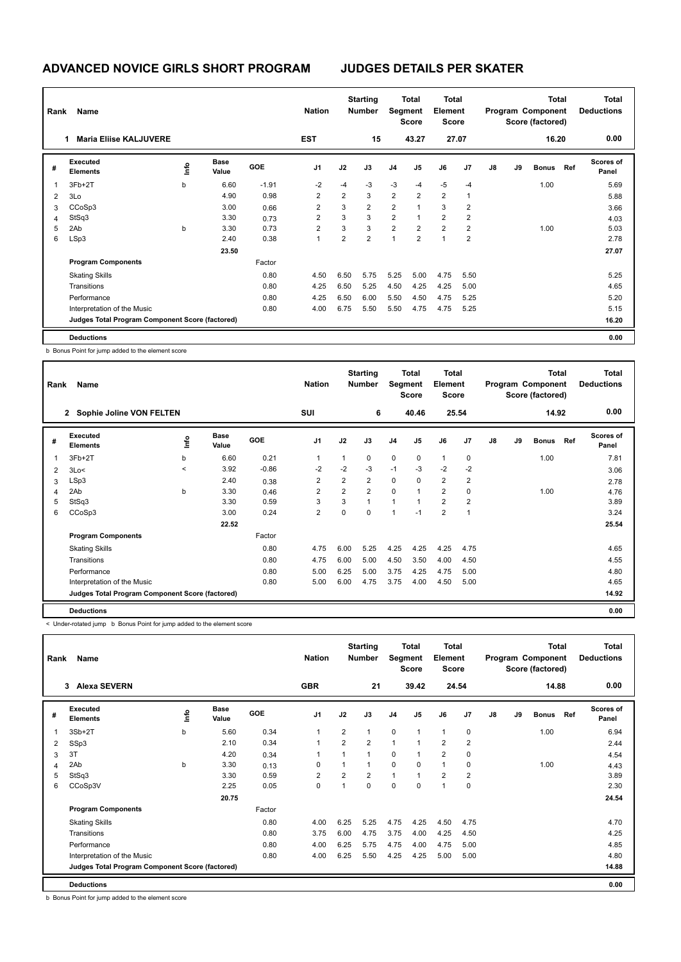| Rank | Name                                            |    |                      |            | <b>Nation</b>  |                | <b>Starting</b><br>Number |                | <b>Total</b><br>Segment<br><b>Score</b> | <b>Total</b><br>Element<br><b>Score</b> |                |    |    | <b>Total</b><br>Program Component<br>Score (factored) |     | <b>Total</b><br><b>Deductions</b> |
|------|-------------------------------------------------|----|----------------------|------------|----------------|----------------|---------------------------|----------------|-----------------------------------------|-----------------------------------------|----------------|----|----|-------------------------------------------------------|-----|-----------------------------------|
|      | <b>Maria Eliise KALJUVERE</b>                   |    |                      |            | <b>EST</b>     |                | 15                        |                | 43.27                                   |                                         | 27.07          |    |    | 16.20                                                 |     | 0.00                              |
| #    | Executed<br><b>Elements</b>                     | ١m | <b>Base</b><br>Value | <b>GOE</b> | J <sub>1</sub> | J2             | J3                        | J <sub>4</sub> | J <sub>5</sub>                          | J6                                      | J7             | J8 | J9 | <b>Bonus</b>                                          | Ref | Scores of<br>Panel                |
|      | 3Fb+2T                                          | b  | 6.60                 | $-1.91$    | $-2$           | $-4$           | $-3$                      | $-3$           | $-4$                                    | $-5$                                    | $-4$           |    |    | 1.00                                                  |     | 5.69                              |
| 2    | 3Lo                                             |    | 4.90                 | 0.98       | $\overline{2}$ | $\overline{2}$ | 3                         | $\overline{2}$ | $\overline{2}$                          | $\overline{2}$                          | 1              |    |    |                                                       |     | 5.88                              |
| 3    | CCoSp3                                          |    | 3.00                 | 0.66       | $\overline{2}$ | 3              | $\overline{2}$            | $\overline{2}$ | $\overline{1}$                          | 3                                       | $\overline{2}$ |    |    |                                                       |     | 3.66                              |
| 4    | StSq3                                           |    | 3.30                 | 0.73       | $\overline{2}$ | 3              | 3                         | $\overline{2}$ | $\mathbf{1}$                            | $\overline{2}$                          | $\overline{2}$ |    |    |                                                       |     | 4.03                              |
| 5    | 2Ab                                             | b  | 3.30                 | 0.73       | $\overline{2}$ | 3              | 3                         | $\overline{2}$ | $\overline{2}$                          | $\overline{2}$                          | $\overline{2}$ |    |    | 1.00                                                  |     | 5.03                              |
| 6    | LSp3                                            |    | 2.40                 | 0.38       |                | $\overline{2}$ | $\overline{2}$            | 1              | $\overline{2}$                          | $\overline{1}$                          | 2              |    |    |                                                       |     | 2.78                              |
|      |                                                 |    | 23.50                |            |                |                |                           |                |                                         |                                         |                |    |    |                                                       |     | 27.07                             |
|      | <b>Program Components</b>                       |    |                      | Factor     |                |                |                           |                |                                         |                                         |                |    |    |                                                       |     |                                   |
|      | <b>Skating Skills</b>                           |    |                      | 0.80       | 4.50           | 6.50           | 5.75                      | 5.25           | 5.00                                    | 4.75                                    | 5.50           |    |    |                                                       |     | 5.25                              |
|      | Transitions                                     |    |                      | 0.80       | 4.25           | 6.50           | 5.25                      | 4.50           | 4.25                                    | 4.25                                    | 5.00           |    |    |                                                       |     | 4.65                              |
|      | Performance                                     |    |                      | 0.80       | 4.25           | 6.50           | 6.00                      | 5.50           | 4.50                                    | 4.75                                    | 5.25           |    |    |                                                       |     | 5.20                              |
|      | Interpretation of the Music                     |    |                      | 0.80       | 4.00           | 6.75           | 5.50                      | 5.50           | 4.75                                    | 4.75                                    | 5.25           |    |    |                                                       |     | 5.15                              |
|      | Judges Total Program Component Score (factored) |    |                      |            |                |                |                           |                |                                         |                                         |                |    |    |                                                       |     | 16.20                             |
|      | <b>Deductions</b>                               |    |                      |            |                |                |                           |                |                                         |                                         |                |    |    |                                                       |     | 0.00                              |

b Bonus Point for jump added to the element score

| Rank | Name                                            |              |                      |         | <b>Nation</b>  |                | <b>Starting</b><br><b>Number</b> |                | Total<br>Segment<br><b>Score</b> | <b>Total</b><br>Element<br><b>Score</b> |                |               |    | <b>Total</b><br>Program Component<br>Score (factored) |     | Total<br><b>Deductions</b> |
|------|-------------------------------------------------|--------------|----------------------|---------|----------------|----------------|----------------------------------|----------------|----------------------------------|-----------------------------------------|----------------|---------------|----|-------------------------------------------------------|-----|----------------------------|
|      | 2 Sophie Joline VON FELTEN                      |              |                      |         | <b>SUI</b>     |                | 6                                |                | 40.46                            |                                         | 25.54          |               |    | 14.92                                                 |     | 0.00                       |
| #    | Executed<br><b>Elements</b>                     | ١nfo         | <b>Base</b><br>Value | GOE     | J <sub>1</sub> | J2             | J3                               | J <sub>4</sub> | J <sub>5</sub>                   | J6                                      | J <sub>7</sub> | $\mathsf{J}8$ | J9 | <b>Bonus</b>                                          | Ref | <b>Scores of</b><br>Panel  |
| 1    | $3Fb+2T$                                        | b            | 6.60                 | 0.21    | $\overline{1}$ | 1              | 0                                | $\mathbf 0$    | $\mathbf 0$                      | $\mathbf{1}$                            | 0              |               |    | 1.00                                                  |     | 7.81                       |
| 2    | 3Lo<                                            | $\checkmark$ | 3.92                 | $-0.86$ | $-2$           | $-2$           | $-3$                             | $-1$           | $-3$                             | $-2$                                    | $-2$           |               |    |                                                       |     | 3.06                       |
| 3    | LSp3                                            |              | 2.40                 | 0.38    | $\overline{2}$ | $\overline{2}$ | $\overline{2}$                   | $\mathbf 0$    | $\Omega$                         | $\overline{2}$                          | $\overline{2}$ |               |    |                                                       |     | 2.78                       |
| 4    | 2Ab                                             | b            | 3.30                 | 0.46    | $\overline{2}$ | $\overline{2}$ | $\overline{2}$                   | $\Omega$       | $\overline{1}$                   | $\overline{2}$                          | $\Omega$       |               |    | 1.00                                                  |     | 4.76                       |
| 5    | StSq3                                           |              | 3.30                 | 0.59    | 3              | 3              | $\mathbf{1}$                     | 1              | 1                                | $\overline{2}$                          | $\overline{2}$ |               |    |                                                       |     | 3.89                       |
| 6    | CCoSp3                                          |              | 3.00                 | 0.24    | $\overline{2}$ | $\Omega$       | $\Omega$                         | 1              | $-1$                             | $\overline{2}$                          | 1              |               |    |                                                       |     | 3.24                       |
|      |                                                 |              | 22.52                |         |                |                |                                  |                |                                  |                                         |                |               |    |                                                       |     | 25.54                      |
|      | <b>Program Components</b>                       |              |                      | Factor  |                |                |                                  |                |                                  |                                         |                |               |    |                                                       |     |                            |
|      | <b>Skating Skills</b>                           |              |                      | 0.80    | 4.75           | 6.00           | 5.25                             | 4.25           | 4.25                             | 4.25                                    | 4.75           |               |    |                                                       |     | 4.65                       |
|      | Transitions                                     |              |                      | 0.80    | 4.75           | 6.00           | 5.00                             | 4.50           | 3.50                             | 4.00                                    | 4.50           |               |    |                                                       |     | 4.55                       |
|      | Performance                                     |              |                      | 0.80    | 5.00           | 6.25           | 5.00                             | 3.75           | 4.25                             | 4.75                                    | 5.00           |               |    |                                                       |     | 4.80                       |
|      | Interpretation of the Music                     |              |                      | 0.80    | 5.00           | 6.00           | 4.75                             | 3.75           | 4.00                             | 4.50                                    | 5.00           |               |    |                                                       |     | 4.65                       |
|      | Judges Total Program Component Score (factored) |              |                      |         |                |                |                                  |                |                                  |                                         |                |               |    |                                                       |     | 14.92                      |
|      | <b>Deductions</b>                               |              |                      |         |                |                |                                  |                |                                  |                                         |                |               |    |                                                       |     | 0.00                       |

< Under-rotated jump b Bonus Point for jump added to the element score

| Rank | Name                                            |      |                      |            | <b>Nation</b>  |                | <b>Starting</b><br><b>Number</b> | Segment        | <b>Total</b><br><b>Score</b> | <b>Total</b><br>Element<br><b>Score</b> |                |    |    | Total<br>Program Component<br>Score (factored) |     | Total<br><b>Deductions</b> |
|------|-------------------------------------------------|------|----------------------|------------|----------------|----------------|----------------------------------|----------------|------------------------------|-----------------------------------------|----------------|----|----|------------------------------------------------|-----|----------------------------|
|      | <b>Alexa SEVERN</b><br>3                        |      |                      |            | <b>GBR</b>     |                | 21                               |                | 39.42                        | 24.54                                   |                |    |    | 14.88                                          |     | 0.00                       |
| #    | <b>Executed</b><br><b>Elements</b>              | lnfo | <b>Base</b><br>Value | <b>GOE</b> | J <sub>1</sub> | J2             | J3                               | J <sub>4</sub> | J <sub>5</sub>               | J6                                      | J7             | J8 | J9 | <b>Bonus</b>                                   | Ref | <b>Scores of</b><br>Panel  |
|      | $3Sb+2T$                                        | b    | 5.60                 | 0.34       | $\overline{1}$ | $\overline{2}$ | 1                                | $\mathbf 0$    | 1                            | $\mathbf{1}$                            | $\mathbf 0$    |    |    | 1.00                                           |     | 6.94                       |
| 2    | SSp3                                            |      | 2.10                 | 0.34       | $\overline{1}$ | $\overline{2}$ | $\overline{2}$                   | $\mathbf{1}$   |                              | $\overline{2}$                          | $\overline{2}$ |    |    |                                                |     | 2.44                       |
| 3    | 3T                                              |      | 4.20                 | 0.34       |                | 1              | 1                                | $\mathbf 0$    |                              | $\overline{2}$                          | $\mathbf 0$    |    |    |                                                |     | 4.54                       |
| 4    | 2Ab                                             | b    | 3.30                 | 0.13       | $\mathbf 0$    | 1              | 1                                | 0              | 0                            | $\mathbf{1}$                            | $\mathbf 0$    |    |    | 1.00                                           |     | 4.43                       |
| 5    | StSq3                                           |      | 3.30                 | 0.59       | $\overline{2}$ | $\overline{2}$ | $\overline{2}$                   | $\mathbf{1}$   |                              | $\overline{2}$                          | $\overline{2}$ |    |    |                                                |     | 3.89                       |
| 6    | CCoSp3V                                         |      | 2.25                 | 0.05       | 0              | 1              | 0                                | 0              | 0                            | $\mathbf{1}$                            | 0              |    |    |                                                |     | 2.30                       |
|      |                                                 |      | 20.75                |            |                |                |                                  |                |                              |                                         |                |    |    |                                                |     | 24.54                      |
|      | <b>Program Components</b>                       |      |                      | Factor     |                |                |                                  |                |                              |                                         |                |    |    |                                                |     |                            |
|      | <b>Skating Skills</b>                           |      |                      | 0.80       | 4.00           | 6.25           | 5.25                             | 4.75           | 4.25                         | 4.50                                    | 4.75           |    |    |                                                |     | 4.70                       |
|      | Transitions                                     |      |                      | 0.80       | 3.75           | 6.00           | 4.75                             | 3.75           | 4.00                         | 4.25                                    | 4.50           |    |    |                                                |     | 4.25                       |
|      | Performance                                     |      |                      | 0.80       | 4.00           | 6.25           | 5.75                             | 4.75           | 4.00                         | 4.75                                    | 5.00           |    |    |                                                |     | 4.85                       |
|      | Interpretation of the Music                     |      |                      | 0.80       | 4.00           | 6.25           | 5.50                             | 4.25           | 4.25                         | 5.00                                    | 5.00           |    |    |                                                |     | 4.80                       |
|      | Judges Total Program Component Score (factored) |      |                      |            |                |                |                                  |                |                              |                                         |                |    |    |                                                |     | 14.88                      |
|      | <b>Deductions</b>                               |      |                      |            |                |                |                                  |                |                              |                                         |                |    |    |                                                |     | 0.00                       |

b Bonus Point for jump added to the element score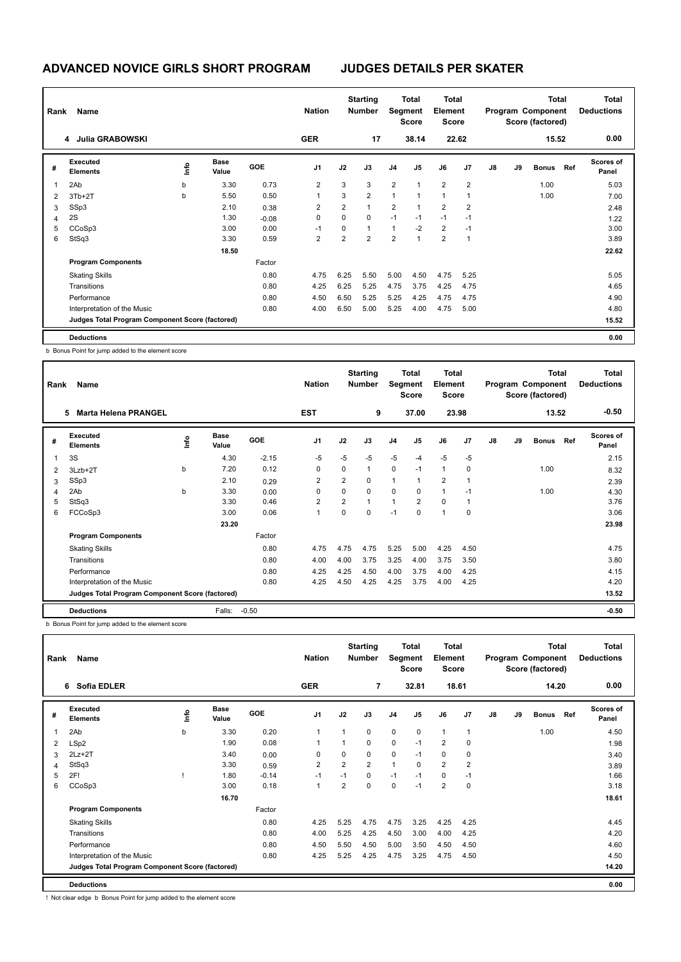| Rank           | Name                                            |     |                      |         | <b>Nation</b>  |                | <b>Starting</b><br>Number | Segment        | <b>Total</b><br>Score | <b>Total</b><br>Element<br>Score |                |    |    | <b>Total</b><br>Program Component<br>Score (factored) |     | <b>Total</b><br><b>Deductions</b> |
|----------------|-------------------------------------------------|-----|----------------------|---------|----------------|----------------|---------------------------|----------------|-----------------------|----------------------------------|----------------|----|----|-------------------------------------------------------|-----|-----------------------------------|
|                | 4 Julia GRABOWSKI                               |     |                      |         | <b>GER</b>     |                | 17                        |                | 38.14                 |                                  | 22.62          |    |    | 15.52                                                 |     | 0.00                              |
| #              | Executed<br><b>Elements</b>                     | ١m٥ | <b>Base</b><br>Value | GOE     | J <sub>1</sub> | J2             | J3                        | J <sub>4</sub> | J <sub>5</sub>        | J6                               | J <sub>7</sub> | J8 | J9 | <b>Bonus</b>                                          | Ref | <b>Scores of</b><br>Panel         |
| 1              | 2Ab                                             | b   | 3.30                 | 0.73    | $\overline{2}$ | 3              | 3                         | $\overline{2}$ | $\mathbf{1}$          | $\overline{2}$                   | $\overline{2}$ |    |    | 1.00                                                  |     | 5.03                              |
| $\overline{2}$ | $3Tb+2T$                                        | b   | 5.50                 | 0.50    | 1              | 3              | $\overline{2}$            | 1              | $\mathbf{1}$          | $\overline{1}$                   | $\overline{1}$ |    |    | 1.00                                                  |     | 7.00                              |
| 3              | SSp3                                            |     | 2.10                 | 0.38    | 2              | $\overline{2}$ | $\mathbf{1}$              | $\overline{2}$ | $\mathbf{1}$          | $\overline{2}$                   | 2              |    |    |                                                       |     | 2.48                              |
| 4              | 2S                                              |     | 1.30                 | $-0.08$ | 0              | $\Omega$       | $\Omega$                  | $-1$           | $-1$                  | $-1$                             | $-1$           |    |    |                                                       |     | 1.22                              |
| 5              | CCoSp3                                          |     | 3.00                 | 0.00    | $-1$           | 0              | 1                         | $\mathbf{1}$   | $-2$                  | $\overline{2}$                   | $-1$           |    |    |                                                       |     | 3.00                              |
| 6              | StSq3                                           |     | 3.30                 | 0.59    | 2              | $\overline{2}$ | $\overline{2}$            | $\overline{2}$ | 1                     | $\overline{2}$                   | $\mathbf{1}$   |    |    |                                                       |     | 3.89                              |
|                |                                                 |     | 18.50                |         |                |                |                           |                |                       |                                  |                |    |    |                                                       |     | 22.62                             |
|                | <b>Program Components</b>                       |     |                      | Factor  |                |                |                           |                |                       |                                  |                |    |    |                                                       |     |                                   |
|                | <b>Skating Skills</b>                           |     |                      | 0.80    | 4.75           | 6.25           | 5.50                      | 5.00           | 4.50                  | 4.75                             | 5.25           |    |    |                                                       |     | 5.05                              |
|                | Transitions                                     |     |                      | 0.80    | 4.25           | 6.25           | 5.25                      | 4.75           | 3.75                  | 4.25                             | 4.75           |    |    |                                                       |     | 4.65                              |
|                | Performance                                     |     |                      | 0.80    | 4.50           | 6.50           | 5.25                      | 5.25           | 4.25                  | 4.75                             | 4.75           |    |    |                                                       |     | 4.90                              |
|                | Interpretation of the Music                     |     |                      | 0.80    | 4.00           | 6.50           | 5.00                      | 5.25           | 4.00                  | 4.75                             | 5.00           |    |    |                                                       |     | 4.80                              |
|                | Judges Total Program Component Score (factored) |     |                      |         |                |                |                           |                |                       |                                  |                |    |    |                                                       |     | 15.52                             |
|                | <b>Deductions</b>                               |     |                      |         |                |                |                           |                |                       |                                  |                |    |    |                                                       |     | 0.00                              |

b Bonus Point for jump added to the element score

| Rank | Name                                            |    |                      |         | <b>Nation</b>  |                | <b>Starting</b><br><b>Number</b> | Segment        | Total<br><b>Score</b> | <b>Total</b><br>Element<br><b>Score</b> |                |    |    | <b>Total</b><br>Program Component<br>Score (factored) |     | <b>Total</b><br><b>Deductions</b> |
|------|-------------------------------------------------|----|----------------------|---------|----------------|----------------|----------------------------------|----------------|-----------------------|-----------------------------------------|----------------|----|----|-------------------------------------------------------|-----|-----------------------------------|
|      | <b>Marta Helena PRANGEL</b><br>5                |    |                      |         | <b>EST</b>     |                | 9                                |                | 37.00                 |                                         | 23.98          |    |    | 13.52                                                 |     | $-0.50$                           |
| #    | Executed<br><b>Elements</b>                     | ۴ů | <b>Base</b><br>Value | GOE     | J <sub>1</sub> | J2             | J3                               | J <sub>4</sub> | J <sub>5</sub>        | J6                                      | J <sub>7</sub> | J8 | J9 | <b>Bonus</b>                                          | Ref | <b>Scores of</b><br>Panel         |
| 1    | 3S                                              |    | 4.30                 | $-2.15$ | $-5$           | $-5$           | $-5$                             | $-5$           | $-4$                  | $-5$                                    | $-5$           |    |    |                                                       |     | 2.15                              |
| 2    | 3Lzb+2T                                         | b  | 7.20                 | 0.12    | 0              | 0              | $\mathbf{1}$                     | $\pmb{0}$      | $-1$                  | $\mathbf{1}$                            | 0              |    |    | 1.00                                                  |     | 8.32                              |
| 3    | SSp3                                            |    | 2.10                 | 0.29    | $\overline{2}$ | $\overline{2}$ | 0                                | 1              | 1                     | $\overline{2}$                          | 1              |    |    |                                                       |     | 2.39                              |
| 4    | 2Ab                                             | b  | 3.30                 | 0.00    | 0              | $\Omega$       | $\mathbf 0$                      | 0              | 0                     | $\mathbf{1}$                            | $-1$           |    |    | 1.00                                                  |     | 4.30                              |
| 5    | StSq3                                           |    | 3.30                 | 0.46    | 2              | $\overline{2}$ | $\mathbf{1}$                     | 1              | 2                     | $\Omega$                                | -1             |    |    |                                                       |     | 3.76                              |
| 6    | FCCoSp3                                         |    | 3.00                 | 0.06    | 1              | $\Omega$       | $\Omega$                         | $-1$           | 0                     | $\mathbf{1}$                            | $\Omega$       |    |    |                                                       |     | 3.06                              |
|      |                                                 |    | 23.20                |         |                |                |                                  |                |                       |                                         |                |    |    |                                                       |     | 23.98                             |
|      | <b>Program Components</b>                       |    |                      | Factor  |                |                |                                  |                |                       |                                         |                |    |    |                                                       |     |                                   |
|      | <b>Skating Skills</b>                           |    |                      | 0.80    | 4.75           | 4.75           | 4.75                             | 5.25           | 5.00                  | 4.25                                    | 4.50           |    |    |                                                       |     | 4.75                              |
|      | Transitions                                     |    |                      | 0.80    | 4.00           | 4.00           | 3.75                             | 3.25           | 4.00                  | 3.75                                    | 3.50           |    |    |                                                       |     | 3.80                              |
|      | Performance                                     |    |                      | 0.80    | 4.25           | 4.25           | 4.50                             | 4.00           | 3.75                  | 4.00                                    | 4.25           |    |    |                                                       |     | 4.15                              |
|      | Interpretation of the Music                     |    |                      | 0.80    | 4.25           | 4.50           | 4.25                             | 4.25           | 3.75                  | 4.00                                    | 4.25           |    |    |                                                       |     | 4.20                              |
|      | Judges Total Program Component Score (factored) |    |                      |         |                |                |                                  |                |                       |                                         |                |    |    |                                                       |     | 13.52                             |
|      | <b>Deductions</b>                               |    | Falls:               | $-0.50$ |                |                |                                  |                |                       |                                         |                |    |    |                                                       |     | $-0.50$                           |

b Bonus Point for jump added to the element score

| Rank | Name                                            |      |                      |            | <b>Nation</b>  |                | <b>Starting</b><br><b>Number</b> | Segment        | <b>Total</b><br><b>Score</b> | Total<br>Element<br><b>Score</b> |                |    |    | <b>Total</b><br>Program Component<br>Score (factored) |     | Total<br><b>Deductions</b> |
|------|-------------------------------------------------|------|----------------------|------------|----------------|----------------|----------------------------------|----------------|------------------------------|----------------------------------|----------------|----|----|-------------------------------------------------------|-----|----------------------------|
|      | 6 Sofia EDLER                                   |      |                      |            | <b>GER</b>     |                | 7                                |                | 32.81                        | 18.61                            |                |    |    | 14.20                                                 |     | 0.00                       |
| #    | Executed<br><b>Elements</b>                     | ١nf٥ | <b>Base</b><br>Value | <b>GOE</b> | J <sub>1</sub> | J2             | J3                               | J <sub>4</sub> | J <sub>5</sub>               | J6                               | J <sub>7</sub> | J8 | J9 | <b>Bonus</b>                                          | Ref | Scores of<br>Panel         |
| 1    | 2Ab                                             | b    | 3.30                 | 0.20       | 1              |                | 0                                | $\mathbf 0$    | $\mathbf 0$                  | $\mathbf{1}$                     | 1              |    |    | 1.00                                                  |     | 4.50                       |
| 2    | LSp2                                            |      | 1.90                 | 0.08       | 1              |                | $\Omega$                         | $\mathbf 0$    | $-1$                         | $\overline{2}$                   | 0              |    |    |                                                       |     | 1.98                       |
| 3    | $2Lz+2T$                                        |      | 3.40                 | 0.00       | 0              | 0              | 0                                | $\mathbf 0$    | $-1$                         | $\mathbf 0$                      | 0              |    |    |                                                       |     | 3.40                       |
| 4    | StSq3                                           |      | 3.30                 | 0.59       | 2              | $\overline{2}$ | 2                                | 1              | 0                            | 2                                | 2              |    |    |                                                       |     | 3.89                       |
| 5    | 2F!                                             |      | 1.80                 | $-0.14$    | $-1$           | $-1$           | $\mathbf 0$                      | $-1$           | $-1$                         | $\mathbf 0$                      | $-1$           |    |    |                                                       |     | 1.66                       |
| 6    | CCoSp3                                          |      | 3.00                 | 0.18       | $\overline{1}$ | $\overline{2}$ | 0                                | $\mathbf 0$    | $-1$                         | $\overline{2}$                   | 0              |    |    |                                                       |     | 3.18                       |
|      |                                                 |      | 16.70                |            |                |                |                                  |                |                              |                                  |                |    |    |                                                       |     | 18.61                      |
|      | <b>Program Components</b>                       |      |                      | Factor     |                |                |                                  |                |                              |                                  |                |    |    |                                                       |     |                            |
|      | <b>Skating Skills</b>                           |      |                      | 0.80       | 4.25           | 5.25           | 4.75                             | 4.75           | 3.25                         | 4.25                             | 4.25           |    |    |                                                       |     | 4.45                       |
|      | Transitions                                     |      |                      | 0.80       | 4.00           | 5.25           | 4.25                             | 4.50           | 3.00                         | 4.00                             | 4.25           |    |    |                                                       |     | 4.20                       |
|      | Performance                                     |      |                      | 0.80       | 4.50           | 5.50           | 4.50                             | 5.00           | 3.50                         | 4.50                             | 4.50           |    |    |                                                       |     | 4.60                       |
|      | Interpretation of the Music                     |      |                      | 0.80       | 4.25           | 5.25           | 4.25                             | 4.75           | 3.25                         | 4.75                             | 4.50           |    |    |                                                       |     | 4.50                       |
|      | Judges Total Program Component Score (factored) |      |                      |            |                |                |                                  |                |                              |                                  |                |    |    |                                                       |     | 14.20                      |
|      | <b>Deductions</b>                               |      |                      |            |                |                |                                  |                |                              |                                  |                |    |    |                                                       |     | 0.00                       |

! Not clear edge b Bonus Point for jump added to the element score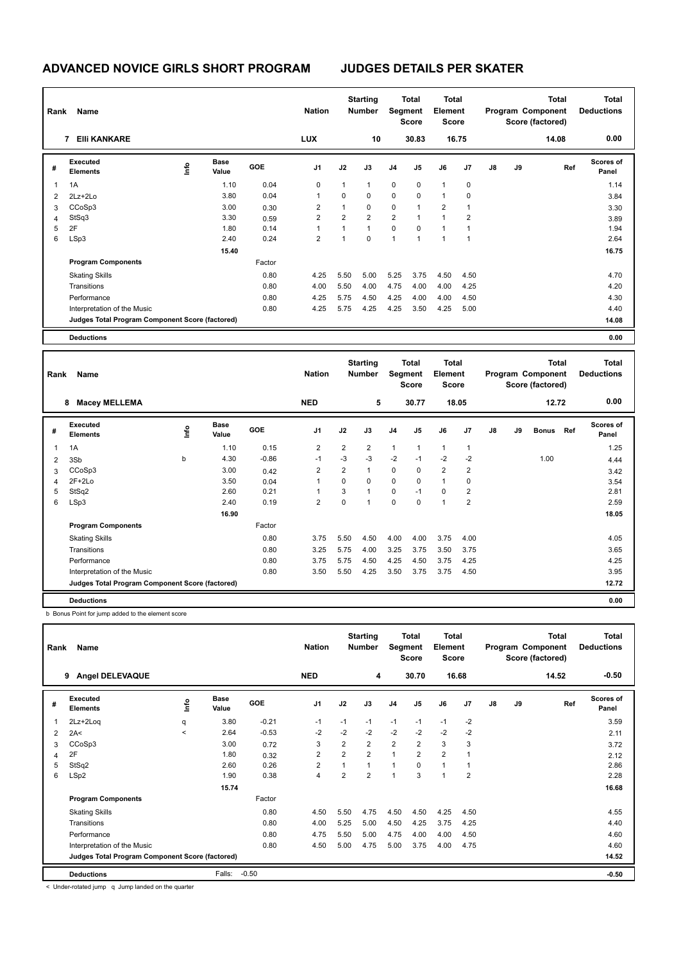| Rank           | Name                                            |      |                      |        | <b>Nation</b>  |                | <b>Starting</b><br><b>Number</b> |                | <b>Total</b><br>Segment<br><b>Score</b> | <b>Total</b><br>Element<br><b>Score</b> |                |               |    | <b>Total</b><br>Program Component<br>Score (factored) | <b>Total</b><br><b>Deductions</b> |
|----------------|-------------------------------------------------|------|----------------------|--------|----------------|----------------|----------------------------------|----------------|-----------------------------------------|-----------------------------------------|----------------|---------------|----|-------------------------------------------------------|-----------------------------------|
|                | <b>EIII KANKARE</b><br>7                        |      |                      |        | <b>LUX</b>     |                | 10                               |                | 30.83                                   |                                         | 16.75          |               |    | 14.08                                                 | 0.00                              |
| #              | Executed<br><b>Elements</b>                     | ١mfo | <b>Base</b><br>Value | GOE    | J1             | J2             | J3                               | J <sub>4</sub> | J5                                      | J6                                      | J7             | $\mathsf{J}8$ | J9 | Ref                                                   | <b>Scores of</b><br>Panel         |
| $\overline{1}$ | 1A                                              |      | 1.10                 | 0.04   | $\mathbf 0$    | $\mathbf{1}$   | $\overline{1}$                   | $\mathbf 0$    | $\Omega$                                | 1                                       | $\mathbf 0$    |               |    |                                                       | 1.14                              |
| $\overline{2}$ | 2Lz+2Lo                                         |      | 3.80                 | 0.04   | 1              | 0              | 0                                | 0              | $\mathbf 0$                             | 1                                       | 0              |               |    |                                                       | 3.84                              |
| 3              | CCoSp3                                          |      | 3.00                 | 0.30   | 2              | $\mathbf{1}$   | $\mathbf 0$                      | 0              | 1                                       | $\overline{2}$                          | 1              |               |    |                                                       | 3.30                              |
| 4              | StSq3                                           |      | 3.30                 | 0.59   | $\overline{2}$ | $\overline{2}$ | $\overline{2}$                   | $\overline{2}$ | $\overline{1}$                          | $\overline{1}$                          | $\overline{2}$ |               |    |                                                       | 3.89                              |
| 5              | 2F                                              |      | 1.80                 | 0.14   | $\mathbf{1}$   | $\mathbf{1}$   | $\overline{1}$                   | $\mathbf 0$    | $\Omega$                                | 1                                       |                |               |    |                                                       | 1.94                              |
| 6              | LSp3                                            |      | 2.40                 | 0.24   | 2              | 1              | $\mathbf 0$                      | $\mathbf{1}$   | $\overline{1}$                          | $\overline{1}$                          | 1              |               |    |                                                       | 2.64                              |
|                |                                                 |      | 15.40                |        |                |                |                                  |                |                                         |                                         |                |               |    |                                                       | 16.75                             |
|                | <b>Program Components</b>                       |      |                      | Factor |                |                |                                  |                |                                         |                                         |                |               |    |                                                       |                                   |
|                | <b>Skating Skills</b>                           |      |                      | 0.80   | 4.25           | 5.50           | 5.00                             | 5.25           | 3.75                                    | 4.50                                    | 4.50           |               |    |                                                       | 4.70                              |
|                | Transitions                                     |      |                      | 0.80   | 4.00           | 5.50           | 4.00                             | 4.75           | 4.00                                    | 4.00                                    | 4.25           |               |    |                                                       | 4.20                              |
|                | Performance                                     |      |                      | 0.80   | 4.25           | 5.75           | 4.50                             | 4.25           | 4.00                                    | 4.00                                    | 4.50           |               |    |                                                       | 4.30                              |
|                | Interpretation of the Music                     |      |                      | 0.80   | 4.25           | 5.75           | 4.25                             | 4.25           | 3.50                                    | 4.25                                    | 5.00           |               |    |                                                       | 4.40                              |
|                | Judges Total Program Component Score (factored) |      |                      |        |                |                |                                  |                |                                         |                                         |                |               |    |                                                       | 14.08                             |
|                | <b>Deductions</b>                               |      |                      |        |                |                |                                  |                |                                         |                                         |                |               |    |                                                       | 0.00                              |

| Rank         | Name                                            |    |                      |            | <b>Nation</b>  |                | <b>Starting</b><br><b>Number</b> | Segment      | <b>Total</b><br><b>Score</b> | Total<br>Element<br><b>Score</b> |                |    |    | <b>Total</b><br>Program Component<br>Score (factored) |     | <b>Total</b><br><b>Deductions</b> |
|--------------|-------------------------------------------------|----|----------------------|------------|----------------|----------------|----------------------------------|--------------|------------------------------|----------------------------------|----------------|----|----|-------------------------------------------------------|-----|-----------------------------------|
|              | <b>Macey MELLEMA</b><br>8                       |    |                      |            | <b>NED</b>     |                | 5                                |              | 30.77                        |                                  | 18.05          |    |    | 12.72                                                 |     | 0.00                              |
| #            | Executed<br><b>Elements</b>                     | ۴ů | <b>Base</b><br>Value | <b>GOE</b> | J <sub>1</sub> | J2             | J3                               | J4           | J5                           | J6                               | J7             | J8 | J9 | <b>Bonus</b>                                          | Ref | <b>Scores of</b><br>Panel         |
| $\mathbf{1}$ | 1A                                              |    | 1.10                 | 0.15       | 2              | $\overline{2}$ | $\overline{2}$                   | $\mathbf{1}$ | 1                            | $\overline{1}$                   | $\mathbf{1}$   |    |    |                                                       |     | 1.25                              |
| 2            | 3Sb                                             | b  | 4.30                 | $-0.86$    | $-1$           | $-3$           | $-3$                             | $-2$         | $-1$                         | $-2$                             | $-2$           |    |    | 1.00                                                  |     | 4.44                              |
| 3            | CCoSp3                                          |    | 3.00                 | 0.42       | 2              | $\overline{2}$ | $\mathbf{1}$                     | $\mathbf 0$  | 0                            | $\overline{2}$                   | 2              |    |    |                                                       |     | 3.42                              |
| 4            | $2F+2Lo$                                        |    | 3.50                 | 0.04       | 1              | $\Omega$       | 0                                | 0            | 0                            | $\overline{1}$                   | 0              |    |    |                                                       |     | 3.54                              |
| 5            | StSq2                                           |    | 2.60                 | 0.21       | 1              | 3              | $\mathbf{1}$                     | $\mathbf 0$  | $-1$                         | $\mathbf 0$                      | $\overline{2}$ |    |    |                                                       |     | 2.81                              |
| 6            | LSp3                                            |    | 2.40                 | 0.19       | $\overline{2}$ | $\mathbf 0$    | 1                                | $\mathbf 0$  | 0                            | $\overline{1}$                   | $\overline{2}$ |    |    |                                                       |     | 2.59                              |
|              |                                                 |    | 16.90                |            |                |                |                                  |              |                              |                                  |                |    |    |                                                       |     | 18.05                             |
|              | <b>Program Components</b>                       |    |                      | Factor     |                |                |                                  |              |                              |                                  |                |    |    |                                                       |     |                                   |
|              | <b>Skating Skills</b>                           |    |                      | 0.80       | 3.75           | 5.50           | 4.50                             | 4.00         | 4.00                         | 3.75                             | 4.00           |    |    |                                                       |     | 4.05                              |
|              | Transitions                                     |    |                      | 0.80       | 3.25           | 5.75           | 4.00                             | 3.25         | 3.75                         | 3.50                             | 3.75           |    |    |                                                       |     | 3.65                              |
|              | Performance                                     |    |                      | 0.80       | 3.75           | 5.75           | 4.50                             | 4.25         | 4.50                         | 3.75                             | 4.25           |    |    |                                                       |     | 4.25                              |
|              | Interpretation of the Music                     |    |                      | 0.80       | 3.50           | 5.50           | 4.25                             | 3.50         | 3.75                         | 3.75                             | 4.50           |    |    |                                                       |     | 3.95                              |
|              | Judges Total Program Component Score (factored) |    |                      |            |                |                |                                  |              |                              |                                  |                |    |    |                                                       |     | 12.72                             |
|              | <b>Deductions</b>                               |    |                      |            |                |                |                                  |              |                              |                                  |                |    |    |                                                       |     | 0.00                              |

b Bonus Point for jump added to the element score

| Rank           | Name                                            |         |                      |            | <b>Nation</b>  |                | <b>Starting</b><br>Number | Segment        | Total<br><b>Score</b> | Total<br>Element<br><b>Score</b> |                |               |    | <b>Total</b><br>Program Component<br>Score (factored) | Total<br><b>Deductions</b> |
|----------------|-------------------------------------------------|---------|----------------------|------------|----------------|----------------|---------------------------|----------------|-----------------------|----------------------------------|----------------|---------------|----|-------------------------------------------------------|----------------------------|
|                | <b>Angel DELEVAQUE</b><br>9                     |         |                      |            | <b>NED</b>     |                | 4                         |                | 30.70                 |                                  | 16.68          |               |    | 14.52                                                 | $-0.50$                    |
| #              | Executed<br><b>Elements</b>                     | ١m      | <b>Base</b><br>Value | <b>GOE</b> | J <sub>1</sub> | J2             | J3                        | J <sub>4</sub> | J <sub>5</sub>        | J6                               | J <sub>7</sub> | $\mathsf{J}8$ | J9 | Ref                                                   | <b>Scores of</b><br>Panel  |
| $\overline{1}$ | 2Lz+2Loq                                        | q       | 3.80                 | $-0.21$    | $-1$           | $-1$           | $-1$                      | $-1$           | $-1$                  | $-1$                             | $-2$           |               |    |                                                       | 3.59                       |
| 2              | 2A<                                             | $\prec$ | 2.64                 | $-0.53$    | $-2$           | $-2$           | $-2$                      | $-2$           | $-2$                  | $-2$                             | $-2$           |               |    |                                                       | 2.11                       |
| 3              | CCoSp3                                          |         | 3.00                 | 0.72       | 3              | $\overline{2}$ | $\overline{2}$            | $\overline{2}$ | $\overline{2}$        | 3                                | 3              |               |    |                                                       | 3.72                       |
| 4              | 2F                                              |         | 1.80                 | 0.32       | $\overline{2}$ | $\overline{2}$ | $\overline{2}$            | $\overline{1}$ | $\overline{2}$        | $\overline{2}$                   | $\overline{1}$ |               |    |                                                       | 2.12                       |
| 5              | StSq2                                           |         | 2.60                 | 0.26       | $\overline{2}$ | 1              | 1                         | 1              | 0                     | 1                                |                |               |    |                                                       | 2.86                       |
| 6              | LSp2                                            |         | 1.90                 | 0.38       | $\overline{4}$ | $\overline{2}$ | $\overline{2}$            | 1              | 3                     | 1                                | $\overline{2}$ |               |    |                                                       | 2.28                       |
|                |                                                 |         | 15.74                |            |                |                |                           |                |                       |                                  |                |               |    |                                                       | 16.68                      |
|                | <b>Program Components</b>                       |         |                      | Factor     |                |                |                           |                |                       |                                  |                |               |    |                                                       |                            |
|                | <b>Skating Skills</b>                           |         |                      | 0.80       | 4.50           | 5.50           | 4.75                      | 4.50           | 4.50                  | 4.25                             | 4.50           |               |    |                                                       | 4.55                       |
|                | Transitions                                     |         |                      | 0.80       | 4.00           | 5.25           | 5.00                      | 4.50           | 4.25                  | 3.75                             | 4.25           |               |    |                                                       | 4.40                       |
|                | Performance                                     |         |                      | 0.80       | 4.75           | 5.50           | 5.00                      | 4.75           | 4.00                  | 4.00                             | 4.50           |               |    |                                                       | 4.60                       |
|                | Interpretation of the Music                     |         |                      | 0.80       | 4.50           | 5.00           | 4.75                      | 5.00           | 3.75                  | 4.00                             | 4.75           |               |    |                                                       | 4.60                       |
|                | Judges Total Program Component Score (factored) |         |                      |            |                |                |                           |                |                       |                                  |                |               |    |                                                       | 14.52                      |
|                | <b>Deductions</b>                               |         | Falls:               | $-0.50$    |                |                |                           |                |                       |                                  |                |               |    |                                                       | $-0.50$                    |

< Under-rotated jump q Jump landed on the quarter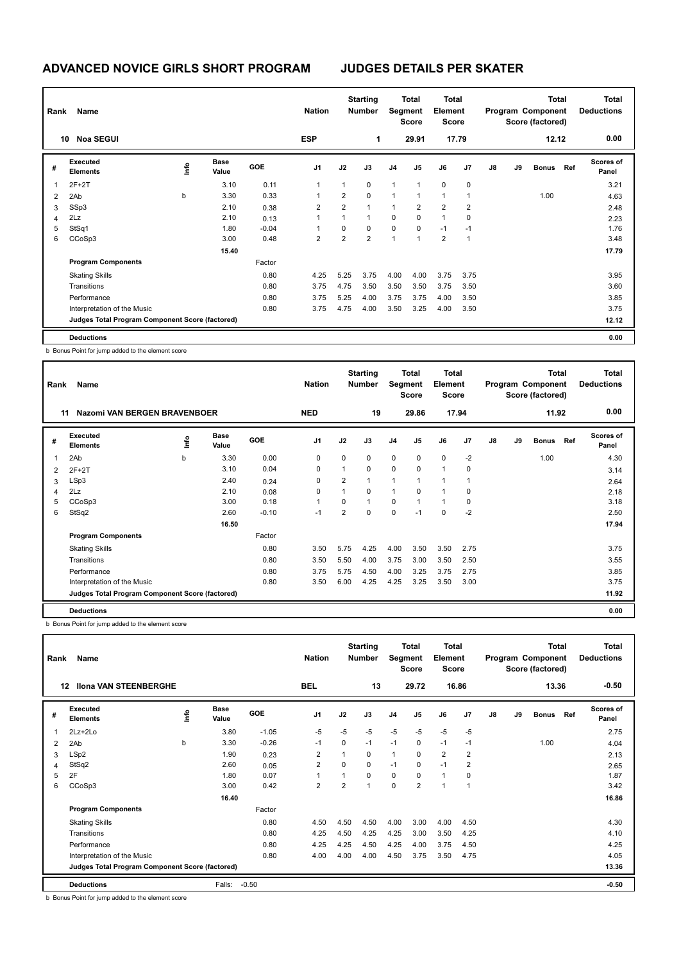| Rank | Name                                            |      |                      |            | <b>Nation</b>  |                | <b>Starting</b><br><b>Number</b> | Segment        | Total<br>Score | <b>Total</b><br>Element<br><b>Score</b> |       |               |    | <b>Total</b><br>Program Component<br>Score (factored) |     | <b>Total</b><br><b>Deductions</b> |
|------|-------------------------------------------------|------|----------------------|------------|----------------|----------------|----------------------------------|----------------|----------------|-----------------------------------------|-------|---------------|----|-------------------------------------------------------|-----|-----------------------------------|
|      | <b>Noa SEGUI</b><br>10                          |      |                      |            | <b>ESP</b>     |                | 1                                |                | 29.91          |                                         | 17.79 |               |    | 12.12                                                 |     | 0.00                              |
| #    | Executed<br>Elements                            | lnfo | <b>Base</b><br>Value | <b>GOE</b> | J <sub>1</sub> | J2             | J3                               | J <sub>4</sub> | J5             | J6                                      | J7    | $\mathsf{J}8$ | J9 | <b>Bonus</b>                                          | Ref | <b>Scores of</b><br>Panel         |
| 1    | $2F+2T$                                         |      | 3.10                 | 0.11       | 1              | $\mathbf{1}$   | $\Omega$                         | $\mathbf{1}$   | 1              | $\mathbf 0$                             | 0     |               |    |                                                       |     | 3.21                              |
| 2    | 2Ab                                             | b    | 3.30                 | 0.33       | 1              | $\overline{2}$ | $\mathbf 0$                      | $\mathbf{1}$   | 1              | $\overline{1}$                          |       |               |    | 1.00                                                  |     | 4.63                              |
| 3    | SSp3                                            |      | 2.10                 | 0.38       | 2              | $\overline{2}$ | $\overline{1}$                   | $\mathbf{1}$   | $\overline{2}$ | $\overline{2}$                          | 2     |               |    |                                                       |     | 2.48                              |
| 4    | 2Lz                                             |      | 2.10                 | 0.13       |                | 1              | -1                               | $\mathbf 0$    | $\Omega$       | $\overline{1}$                          | 0     |               |    |                                                       |     | 2.23                              |
| 5    | StSq1                                           |      | 1.80                 | $-0.04$    |                | 0              | $\mathbf 0$                      | $\mathbf 0$    | 0              | $-1$                                    | $-1$  |               |    |                                                       |     | 1.76                              |
| 6    | CCoSp3                                          |      | 3.00                 | 0.48       | 2              | 2              | $\overline{2}$                   | $\mathbf{1}$   | 1              | $\overline{2}$                          | 1     |               |    |                                                       |     | 3.48                              |
|      |                                                 |      | 15.40                |            |                |                |                                  |                |                |                                         |       |               |    |                                                       |     | 17.79                             |
|      | <b>Program Components</b>                       |      |                      | Factor     |                |                |                                  |                |                |                                         |       |               |    |                                                       |     |                                   |
|      | <b>Skating Skills</b>                           |      |                      | 0.80       | 4.25           | 5.25           | 3.75                             | 4.00           | 4.00           | 3.75                                    | 3.75  |               |    |                                                       |     | 3.95                              |
|      | Transitions                                     |      |                      | 0.80       | 3.75           | 4.75           | 3.50                             | 3.50           | 3.50           | 3.75                                    | 3.50  |               |    |                                                       |     | 3.60                              |
|      | Performance                                     |      |                      | 0.80       | 3.75           | 5.25           | 4.00                             | 3.75           | 3.75           | 4.00                                    | 3.50  |               |    |                                                       |     | 3.85                              |
|      | Interpretation of the Music                     |      |                      | 0.80       | 3.75           | 4.75           | 4.00                             | 3.50           | 3.25           | 4.00                                    | 3.50  |               |    |                                                       |     | 3.75                              |
|      | Judges Total Program Component Score (factored) |      |                      |            |                |                |                                  |                |                |                                         |       |               |    |                                                       |     | 12.12                             |
|      | <b>Deductions</b>                               |      |                      |            |                |                |                                  |                |                |                                         |       |               |    |                                                       |     | 0.00                              |

b Bonus Point for jump added to the element score

| Rank | <b>Name</b>                                     |    |                      |            | <b>Nation</b>  |                | <b>Starting</b><br><b>Number</b> |                | Total<br>Segment<br><b>Score</b> | <b>Total</b><br>Element<br><b>Score</b> |                |    |    | <b>Total</b><br>Program Component<br>Score (factored) |     | <b>Total</b><br><b>Deductions</b> |
|------|-------------------------------------------------|----|----------------------|------------|----------------|----------------|----------------------------------|----------------|----------------------------------|-----------------------------------------|----------------|----|----|-------------------------------------------------------|-----|-----------------------------------|
|      | <b>Nazomi VAN BERGEN BRAVENBOER</b><br>11       |    |                      |            | <b>NED</b>     |                | 19                               |                | 29.86                            |                                         | 17.94          |    |    | 11.92                                                 |     | 0.00                              |
| #    | Executed<br><b>Elements</b>                     | ۴ů | <b>Base</b><br>Value | <b>GOE</b> | J <sub>1</sub> | J2             | J3                               | J <sub>4</sub> | J5                               | J6                                      | J <sub>7</sub> | J8 | J9 | <b>Bonus</b>                                          | Ref | <b>Scores of</b><br>Panel         |
| 1    | 2Ab                                             | b  | 3.30                 | 0.00       | 0              | $\mathbf 0$    | $\mathbf 0$                      | $\mathbf 0$    | $\mathbf 0$                      | $\mathbf 0$                             | $-2$           |    |    | 1.00                                                  |     | 4.30                              |
| 2    | $2F+2T$                                         |    | 3.10                 | 0.04       | 0              | $\mathbf{1}$   | $\mathbf 0$                      | $\mathbf 0$    | $\Omega$                         | $\mathbf{1}$                            | 0              |    |    |                                                       |     | 3.14                              |
| 3    | LSp3                                            |    | 2.40                 | 0.24       | 0              | $\overline{2}$ |                                  | 1              | 1                                | 1                                       |                |    |    |                                                       |     | 2.64                              |
| 4    | 2Lz                                             |    | 2.10                 | 0.08       | 0              | 1              | $\mathbf 0$                      | 1              | $\Omega$                         | $\mathbf{1}$                            | $\Omega$       |    |    |                                                       |     | 2.18                              |
| 5    | CCoSp3                                          |    | 3.00                 | 0.18       |                | $\Omega$       | $\mathbf{1}$                     | $\Omega$       | 1                                | $\mathbf{1}$                            | $\Omega$       |    |    |                                                       |     | 3.18                              |
| 6    | StSq2                                           |    | 2.60                 | $-0.10$    | $-1$           | $\overline{2}$ | $\mathbf 0$                      | $\mathbf 0$    | $-1$                             | $\mathbf 0$                             | $-2$           |    |    |                                                       |     | 2.50                              |
|      |                                                 |    | 16.50                |            |                |                |                                  |                |                                  |                                         |                |    |    |                                                       |     | 17.94                             |
|      | <b>Program Components</b>                       |    |                      | Factor     |                |                |                                  |                |                                  |                                         |                |    |    |                                                       |     |                                   |
|      | <b>Skating Skills</b>                           |    |                      | 0.80       | 3.50           | 5.75           | 4.25                             | 4.00           | 3.50                             | 3.50                                    | 2.75           |    |    |                                                       |     | 3.75                              |
|      | Transitions                                     |    |                      | 0.80       | 3.50           | 5.50           | 4.00                             | 3.75           | 3.00                             | 3.50                                    | 2.50           |    |    |                                                       |     | 3.55                              |
|      | Performance                                     |    |                      | 0.80       | 3.75           | 5.75           | 4.50                             | 4.00           | 3.25                             | 3.75                                    | 2.75           |    |    |                                                       |     | 3.85                              |
|      | Interpretation of the Music                     |    |                      | 0.80       | 3.50           | 6.00           | 4.25                             | 4.25           | 3.25                             | 3.50                                    | 3.00           |    |    |                                                       |     | 3.75                              |
|      | Judges Total Program Component Score (factored) |    |                      |            |                |                |                                  |                |                                  |                                         |                |    |    |                                                       |     | 11.92                             |
|      | <b>Deductions</b>                               |    |                      |            |                |                |                                  |                |                                  |                                         |                |    |    |                                                       |     | 0.00                              |

b Bonus Point for jump added to the element score

| Rank | Name                                            |      |                      |            | <b>Nation</b>  |                | <b>Starting</b><br><b>Number</b> | Segment        | <b>Total</b><br><b>Score</b> | <b>Total</b><br>Element<br><b>Score</b> |                |               |    | <b>Total</b><br>Program Component<br>Score (factored) |     | <b>Total</b><br><b>Deductions</b> |
|------|-------------------------------------------------|------|----------------------|------------|----------------|----------------|----------------------------------|----------------|------------------------------|-----------------------------------------|----------------|---------------|----|-------------------------------------------------------|-----|-----------------------------------|
|      | <b>Ilona VAN STEENBERGHE</b><br>12              |      |                      |            | <b>BEL</b>     |                | 13                               |                | 29.72                        |                                         | 16.86          |               |    | 13.36                                                 |     | $-0.50$                           |
| #    | <b>Executed</b><br><b>Elements</b>              | lnfo | <b>Base</b><br>Value | <b>GOE</b> | J <sub>1</sub> | J2             | J3                               | J <sub>4</sub> | J <sub>5</sub>               | J6                                      | J7             | $\mathsf{J}8$ | J9 | <b>Bonus</b>                                          | Ref | <b>Scores of</b><br>Panel         |
| 1    | $2Lz + 2Lo$                                     |      | 3.80                 | $-1.05$    | $-5$           | $-5$           | $-5$                             | $-5$           | $-5$                         | $-5$                                    | $-5$           |               |    |                                                       |     | 2.75                              |
| 2    | 2Ab                                             | b    | 3.30                 | $-0.26$    | $-1$           | 0              | $-1$                             | $-1$           | 0                            | $-1$                                    | $-1$           |               |    | 1.00                                                  |     | 4.04                              |
| 3    | LSp2                                            |      | 1.90                 | 0.23       | $\overline{2}$ | 1              | $\Omega$                         | $\mathbf{1}$   | $\Omega$                     | $\overline{2}$                          | $\overline{2}$ |               |    |                                                       |     | 2.13                              |
| 4    | StSq2                                           |      | 2.60                 | 0.05       | $\overline{2}$ | $\Omega$       | 0                                | $-1$           | 0                            | $-1$                                    | $\overline{2}$ |               |    |                                                       |     | 2.65                              |
| 5    | 2F                                              |      | 1.80                 | 0.07       | $\overline{1}$ | 1              | $\Omega$                         | 0              | $\Omega$                     | $\mathbf{1}$                            | $\mathbf 0$    |               |    |                                                       |     | 1.87                              |
| 6    | CCoSp3                                          |      | 3.00                 | 0.42       | $\overline{2}$ | $\overline{2}$ | $\overline{1}$                   | $\mathbf 0$    | 2                            | $\overline{1}$                          | -1             |               |    |                                                       |     | 3.42                              |
|      |                                                 |      | 16.40                |            |                |                |                                  |                |                              |                                         |                |               |    |                                                       |     | 16.86                             |
|      | <b>Program Components</b>                       |      |                      | Factor     |                |                |                                  |                |                              |                                         |                |               |    |                                                       |     |                                   |
|      | <b>Skating Skills</b>                           |      |                      | 0.80       | 4.50           | 4.50           | 4.50                             | 4.00           | 3.00                         | 4.00                                    | 4.50           |               |    |                                                       |     | 4.30                              |
|      | Transitions                                     |      |                      | 0.80       | 4.25           | 4.50           | 4.25                             | 4.25           | 3.00                         | 3.50                                    | 4.25           |               |    |                                                       |     | 4.10                              |
|      | Performance                                     |      |                      | 0.80       | 4.25           | 4.25           | 4.50                             | 4.25           | 4.00                         | 3.75                                    | 4.50           |               |    |                                                       |     | 4.25                              |
|      | Interpretation of the Music                     |      |                      | 0.80       | 4.00           | 4.00           | 4.00                             | 4.50           | 3.75                         | 3.50                                    | 4.75           |               |    |                                                       |     | 4.05                              |
|      | Judges Total Program Component Score (factored) |      |                      |            |                |                |                                  |                |                              |                                         |                |               |    |                                                       |     | 13.36                             |
|      | <b>Deductions</b>                               |      | Falls:               | $-0.50$    |                |                |                                  |                |                              |                                         |                |               |    |                                                       |     | $-0.50$                           |

b Bonus Point for jump added to the element score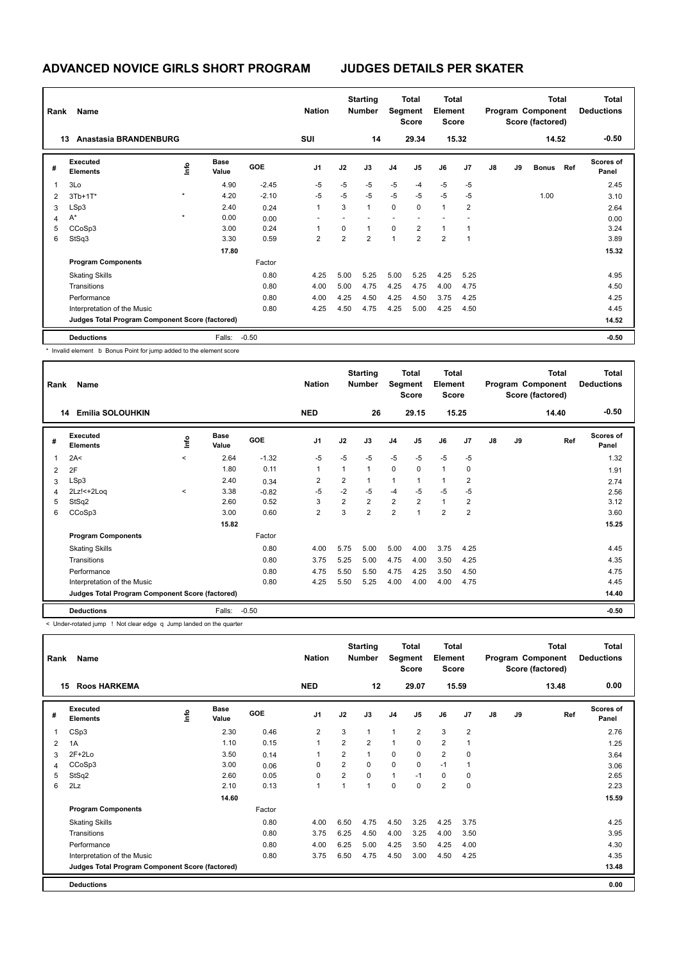| Rank | Name                                            |         |                      |            | <b>Nation</b>  |                | <b>Starting</b><br><b>Number</b> | Segment      | Total<br>Score | <b>Total</b><br>Element<br><b>Score</b> |       |               |    | <b>Total</b><br>Program Component<br>Score (factored) |     | <b>Total</b><br><b>Deductions</b> |
|------|-------------------------------------------------|---------|----------------------|------------|----------------|----------------|----------------------------------|--------------|----------------|-----------------------------------------|-------|---------------|----|-------------------------------------------------------|-----|-----------------------------------|
|      | Anastasia BRANDENBURG<br>13                     |         |                      |            | SUI            |                | 14                               |              | 29.34          |                                         | 15.32 |               |    | 14.52                                                 |     | $-0.50$                           |
| #    | Executed<br><b>Elements</b>                     | ١m٥     | <b>Base</b><br>Value | <b>GOE</b> | J <sub>1</sub> | J2             | J3                               | J4           | J5             | J6                                      | J7    | $\mathsf{J}8$ | J9 | <b>Bonus</b>                                          | Ref | <b>Scores of</b><br>Panel         |
|      | 3Lo                                             |         | 4.90                 | $-2.45$    | $-5$           | $-5$           | $-5$                             | $-5$         | $-4$           | $-5$                                    | $-5$  |               |    |                                                       |     | 2.45                              |
| 2    | $3Tb+1T*$                                       | $\star$ | 4.20                 | $-2.10$    | $-5$           | $-5$           | $-5$                             | $-5$         | $-5$           | $-5$                                    | $-5$  |               |    | 1.00                                                  |     | 3.10                              |
| 3    | LSp3                                            |         | 2.40                 | 0.24       | 1              | 3              | $\mathbf{1}$                     | 0            | 0              | $\overline{1}$                          | 2     |               |    |                                                       |     | 2.64                              |
| 4    | $A^*$                                           | $\star$ | 0.00                 | 0.00       |                |                |                                  |              |                |                                         |       |               |    |                                                       |     | 0.00                              |
| 5    | CCoSp3                                          |         | 3.00                 | 0.24       |                | 0              | $\mathbf{1}$                     | $\mathbf 0$  | $\overline{2}$ | $\overline{1}$                          |       |               |    |                                                       |     | 3.24                              |
| 6    | StSq3                                           |         | 3.30                 | 0.59       | $\overline{2}$ | $\overline{2}$ | $\overline{2}$                   | $\mathbf{1}$ | $\overline{2}$ | $\overline{2}$                          |       |               |    |                                                       |     | 3.89                              |
|      |                                                 |         | 17.80                |            |                |                |                                  |              |                |                                         |       |               |    |                                                       |     | 15.32                             |
|      | <b>Program Components</b>                       |         |                      | Factor     |                |                |                                  |              |                |                                         |       |               |    |                                                       |     |                                   |
|      | <b>Skating Skills</b>                           |         |                      | 0.80       | 4.25           | 5.00           | 5.25                             | 5.00         | 5.25           | 4.25                                    | 5.25  |               |    |                                                       |     | 4.95                              |
|      | Transitions                                     |         |                      | 0.80       | 4.00           | 5.00           | 4.75                             | 4.25         | 4.75           | 4.00                                    | 4.75  |               |    |                                                       |     | 4.50                              |
|      | Performance                                     |         |                      | 0.80       | 4.00           | 4.25           | 4.50                             | 4.25         | 4.50           | 3.75                                    | 4.25  |               |    |                                                       |     | 4.25                              |
|      | Interpretation of the Music                     |         |                      | 0.80       | 4.25           | 4.50           | 4.75                             | 4.25         | 5.00           | 4.25                                    | 4.50  |               |    |                                                       |     | 4.45                              |
|      | Judges Total Program Component Score (factored) |         |                      |            |                |                |                                  |              |                |                                         |       |               |    |                                                       |     | 14.52                             |
|      | <b>Deductions</b>                               |         | Falls:               | $-0.50$    |                |                |                                  |              |                |                                         |       |               |    |                                                       |     | $-0.50$                           |

\* Invalid element b Bonus Point for jump added to the element score

| Rank | Name                                            |              |                      |            | <b>Nation</b>  |                | <b>Starting</b><br><b>Number</b> | Segment        | <b>Total</b><br><b>Score</b> | <b>Total</b><br>Element<br><b>Score</b> |                |               |    | <b>Total</b><br>Program Component<br>Score (factored) | <b>Total</b><br><b>Deductions</b> |
|------|-------------------------------------------------|--------------|----------------------|------------|----------------|----------------|----------------------------------|----------------|------------------------------|-----------------------------------------|----------------|---------------|----|-------------------------------------------------------|-----------------------------------|
|      | <b>Emilia SOLOUHKIN</b><br>14                   |              |                      |            | <b>NED</b>     |                | 26                               |                | 29.15                        |                                         | 15.25          |               |    | 14.40                                                 | $-0.50$                           |
| #    | Executed<br><b>Elements</b>                     | ١nf٥         | <b>Base</b><br>Value | <b>GOE</b> | J <sub>1</sub> | J2             | J3                               | J <sub>4</sub> | J <sub>5</sub>               | J6                                      | J <sub>7</sub> | $\mathsf{J}8$ | J9 | Ref                                                   | <b>Scores of</b><br>Panel         |
| 1    | 2A<                                             | $\hat{}$     | 2.64                 | $-1.32$    | $-5$           | $-5$           | $-5$                             | $-5$           | $-5$                         | $-5$                                    | $-5$           |               |    |                                                       | 1.32                              |
| 2    | 2F                                              |              | 1.80                 | 0.11       | 1              | $\overline{1}$ | $\mathbf{1}$                     | $\Omega$       | $\Omega$                     | $\mathbf{1}$                            | $\Omega$       |               |    |                                                       | 1.91                              |
| 3    | LSp3                                            |              | 2.40                 | 0.34       | 2              | 2              | $\mathbf 1$                      | 1              |                              | $\overline{1}$                          | 2              |               |    |                                                       | 2.74                              |
| 4    | $2Lz! < +2Log$                                  | $\checkmark$ | 3.38                 | $-0.82$    | $-5$           | $-2$           | -5                               | $-4$           | $-5$                         | $-5$                                    | $-5$           |               |    |                                                       | 2.56                              |
| 5    | StSq2                                           |              | 2.60                 | 0.52       | 3              | $\overline{2}$ | $\overline{2}$                   | $\overline{2}$ | $\overline{2}$               | $\mathbf{1}$                            | 2              |               |    |                                                       | 3.12                              |
| 6    | CCoSp3                                          |              | 3.00                 | 0.60       | 2              | 3              | $\overline{2}$                   | $\overline{2}$ | $\overline{1}$               | $\overline{2}$                          | $\overline{2}$ |               |    |                                                       | 3.60                              |
|      |                                                 |              | 15.82                |            |                |                |                                  |                |                              |                                         |                |               |    |                                                       | 15.25                             |
|      | <b>Program Components</b>                       |              |                      | Factor     |                |                |                                  |                |                              |                                         |                |               |    |                                                       |                                   |
|      | <b>Skating Skills</b>                           |              |                      | 0.80       | 4.00           | 5.75           | 5.00                             | 5.00           | 4.00                         | 3.75                                    | 4.25           |               |    |                                                       | 4.45                              |
|      | Transitions                                     |              |                      | 0.80       | 3.75           | 5.25           | 5.00                             | 4.75           | 4.00                         | 3.50                                    | 4.25           |               |    |                                                       | 4.35                              |
|      | Performance                                     |              |                      | 0.80       | 4.75           | 5.50           | 5.50                             | 4.75           | 4.25                         | 3.50                                    | 4.50           |               |    |                                                       | 4.75                              |
|      | Interpretation of the Music                     |              |                      | 0.80       | 4.25           | 5.50           | 5.25                             | 4.00           | 4.00                         | 4.00                                    | 4.75           |               |    |                                                       | 4.45                              |
|      | Judges Total Program Component Score (factored) |              |                      |            |                |                |                                  |                |                              |                                         |                |               |    |                                                       | 14.40                             |
|      | <b>Deductions</b>                               |              | Falls:               | $-0.50$    |                |                |                                  |                |                              |                                         |                |               |    |                                                       | $-0.50$                           |

< Under-rotated jump ! Not clear edge q Jump landed on the quarter

| Rank | Name                                            |      |                      |            | <b>Nation</b>  |                | <b>Starting</b><br><b>Number</b> | Segment        | <b>Total</b><br><b>Score</b> | <b>Total</b><br>Element<br><b>Score</b> |                |               |    | Total<br>Program Component<br>Score (factored) | <b>Total</b><br><b>Deductions</b> |
|------|-------------------------------------------------|------|----------------------|------------|----------------|----------------|----------------------------------|----------------|------------------------------|-----------------------------------------|----------------|---------------|----|------------------------------------------------|-----------------------------------|
|      | <b>Roos HARKEMA</b><br>15                       |      |                      |            | <b>NED</b>     |                | 12                               |                | 29.07                        |                                         | 15.59          |               |    | 13.48                                          | 0.00                              |
| #    | Executed<br><b>Elements</b>                     | ١nto | <b>Base</b><br>Value | <b>GOE</b> | J <sub>1</sub> | J2             | J3                               | J <sub>4</sub> | J5                           | J6                                      | J <sub>7</sub> | $\mathsf{J}8$ | J9 | Ref                                            | Scores of<br>Panel                |
|      | CSp3                                            |      | 2.30                 | 0.46       | 2              | 3              | 1                                | 1              | 2                            | 3                                       | $\overline{2}$ |               |    |                                                | 2.76                              |
| 2    | 1A                                              |      | 1.10                 | 0.15       | $\mathbf{1}$   | 2              | $\overline{2}$                   | $\mathbf{1}$   | 0                            | $\overline{2}$                          | -1             |               |    |                                                | 1.25                              |
| 3    | $2F+2Lo$                                        |      | 3.50                 | 0.14       | 1              | $\overline{2}$ | 1                                | $\mathbf 0$    | $\mathbf 0$                  | 2                                       | $\mathbf 0$    |               |    |                                                | 3.64                              |
| 4    | CCoSp3                                          |      | 3.00                 | 0.06       | 0              | 2              | 0                                | $\mathbf 0$    | 0                            | $-1$                                    | -1             |               |    |                                                | 3.06                              |
| 5    | StSq2                                           |      | 2.60                 | 0.05       | 0              | 2              | 0                                | $\mathbf{1}$   | $-1$                         | 0                                       | 0              |               |    |                                                | 2.65                              |
| 6    | 2Lz                                             |      | 2.10                 | 0.13       | $\mathbf{1}$   |                | 1                                | $\mathbf 0$    | 0                            | $\overline{2}$                          | 0              |               |    |                                                | 2.23                              |
|      |                                                 |      | 14.60                |            |                |                |                                  |                |                              |                                         |                |               |    |                                                | 15.59                             |
|      | <b>Program Components</b>                       |      |                      | Factor     |                |                |                                  |                |                              |                                         |                |               |    |                                                |                                   |
|      | <b>Skating Skills</b>                           |      |                      | 0.80       | 4.00           | 6.50           | 4.75                             | 4.50           | 3.25                         | 4.25                                    | 3.75           |               |    |                                                | 4.25                              |
|      | Transitions                                     |      |                      | 0.80       | 3.75           | 6.25           | 4.50                             | 4.00           | 3.25                         | 4.00                                    | 3.50           |               |    |                                                | 3.95                              |
|      | Performance                                     |      |                      | 0.80       | 4.00           | 6.25           | 5.00                             | 4.25           | 3.50                         | 4.25                                    | 4.00           |               |    |                                                | 4.30                              |
|      | Interpretation of the Music                     |      |                      | 0.80       | 3.75           | 6.50           | 4.75                             | 4.50           | 3.00                         | 4.50                                    | 4.25           |               |    |                                                | 4.35                              |
|      | Judges Total Program Component Score (factored) |      |                      |            |                |                |                                  |                |                              |                                         |                |               |    |                                                | 13.48                             |
|      | <b>Deductions</b>                               |      |                      |            |                |                |                                  |                |                              |                                         |                |               |    |                                                | 0.00                              |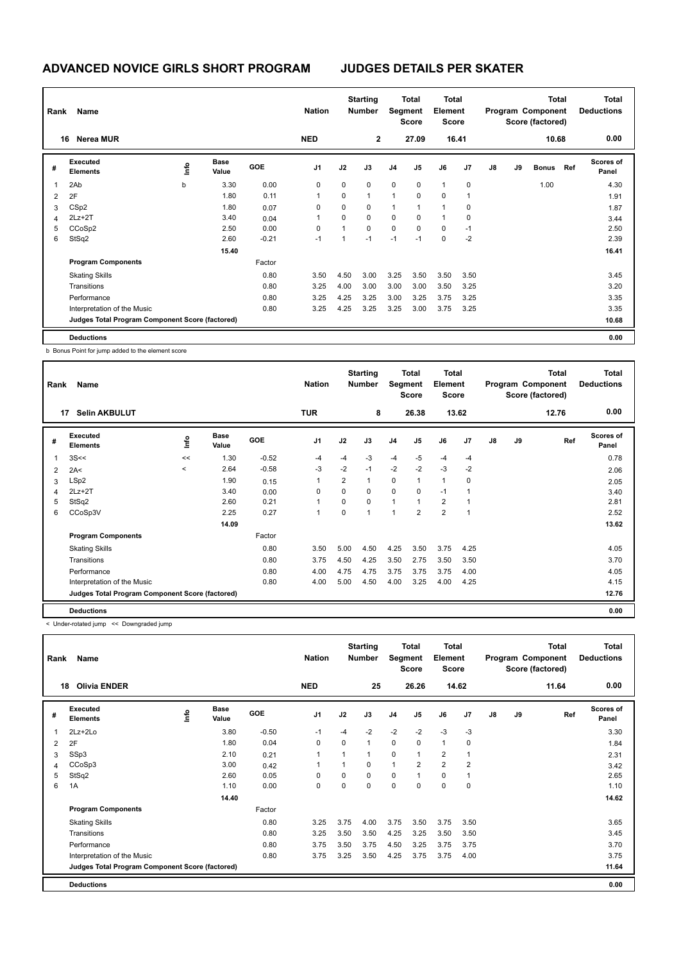| Rank | Name                                            |    |                      |            | <b>Nation</b>  |             | <b>Starting</b><br><b>Number</b> |                | <b>Total</b><br>Segment<br><b>Score</b> | <b>Total</b><br>Element<br><b>Score</b> |             | <b>Total</b><br>Program Component<br>Score (factored) |    |              |     | <b>Total</b><br><b>Deductions</b> |
|------|-------------------------------------------------|----|----------------------|------------|----------------|-------------|----------------------------------|----------------|-----------------------------------------|-----------------------------------------|-------------|-------------------------------------------------------|----|--------------|-----|-----------------------------------|
|      | <b>Nerea MUR</b><br>16                          |    |                      |            | <b>NED</b>     |             | $\mathbf{2}$                     |                | 27.09                                   |                                         | 16.41       |                                                       |    | 10.68        |     | 0.00                              |
| #    | Executed<br><b>Elements</b>                     | ١m | <b>Base</b><br>Value | <b>GOE</b> | J <sub>1</sub> | J2          | J3                               | J <sub>4</sub> | J <sub>5</sub>                          | J6                                      | J7          | J8                                                    | J9 | <b>Bonus</b> | Ref | Scores of<br>Panel                |
|      | 2Ab                                             | b  | 3.30                 | 0.00       | 0              | 0           | $\Omega$                         | $\mathbf 0$    | $\mathbf 0$                             | 1                                       | $\mathbf 0$ |                                                       |    | 1.00         |     | 4.30                              |
| 2    | 2F                                              |    | 1.80                 | 0.11       |                | $\mathbf 0$ | $\mathbf{1}$                     | $\mathbf{1}$   | 0                                       | 0                                       |             |                                                       |    |              |     | 1.91                              |
| 3    | CS <sub>p2</sub>                                |    | 1.80                 | 0.07       | $\Omega$       | $\mathbf 0$ | 0                                | $\mathbf{1}$   | $\mathbf{1}$                            | 1                                       | 0           |                                                       |    |              |     | 1.87                              |
| 4    | $2Lz+2T$                                        |    | 3.40                 | 0.04       |                | 0           | $\Omega$                         | 0              | $\Omega$                                | 1                                       | 0           |                                                       |    |              |     | 3.44                              |
| 5    | CCoSp2                                          |    | 2.50                 | 0.00       | 0              | 1           | $\mathbf 0$                      | 0              | $\Omega$                                | $\mathbf 0$                             | $-1$        |                                                       |    |              |     | 2.50                              |
| 6    | StSq2                                           |    | 2.60                 | $-0.21$    | $-1$           | 1           | $-1$                             | $-1$           | $-1$                                    | 0                                       | $-2$        |                                                       |    |              |     | 2.39                              |
|      |                                                 |    | 15.40                |            |                |             |                                  |                |                                         |                                         |             |                                                       |    |              |     | 16.41                             |
|      | <b>Program Components</b>                       |    |                      | Factor     |                |             |                                  |                |                                         |                                         |             |                                                       |    |              |     |                                   |
|      | <b>Skating Skills</b>                           |    |                      | 0.80       | 3.50           | 4.50        | 3.00                             | 3.25           | 3.50                                    | 3.50                                    | 3.50        |                                                       |    |              |     | 3.45                              |
|      | Transitions                                     |    |                      | 0.80       | 3.25           | 4.00        | 3.00                             | 3.00           | 3.00                                    | 3.50                                    | 3.25        |                                                       |    |              |     | 3.20                              |
|      | Performance                                     |    |                      | 0.80       | 3.25           | 4.25        | 3.25                             | 3.00           | 3.25                                    | 3.75                                    | 3.25        |                                                       |    |              |     | 3.35                              |
|      | Interpretation of the Music                     |    |                      | 0.80       | 3.25           | 4.25        | 3.25                             | 3.25           | 3.00                                    | 3.75                                    | 3.25        |                                                       |    |              |     | 3.35                              |
|      | Judges Total Program Component Score (factored) |    |                      |            |                |             |                                  |                |                                         |                                         |             |                                                       |    |              |     | 10.68                             |
|      | <b>Deductions</b>                               |    |                      |            |                |             |                                  |                |                                         |                                         |             |                                                       |    |              |     | 0.00                              |

b Bonus Point for jump added to the element score

| Rank           | Name                                            |         |                      |            | <b>Nation</b>  |                | <b>Starting</b><br><b>Number</b> |                | <b>Total</b><br>Segment<br><b>Score</b> | <b>Total</b><br>Element<br>Score |                |    |    | <b>Total</b><br>Program Component<br>Score (factored) | <b>Total</b><br><b>Deductions</b> |
|----------------|-------------------------------------------------|---------|----------------------|------------|----------------|----------------|----------------------------------|----------------|-----------------------------------------|----------------------------------|----------------|----|----|-------------------------------------------------------|-----------------------------------|
|                | <b>Selin AKBULUT</b><br>17                      |         |                      |            | <b>TUR</b>     |                | 8                                |                | 26.38                                   |                                  | 13.62          |    |    | 12.76                                                 | 0.00                              |
| #              | Executed<br><b>Elements</b>                     | ١nfo    | <b>Base</b><br>Value | <b>GOE</b> | J <sub>1</sub> | J2             | J3                               | J <sub>4</sub> | J <sub>5</sub>                          | J6                               | J <sub>7</sub> | J8 | J9 | Ref                                                   | <b>Scores of</b><br>Panel         |
| $\overline{1}$ | 3S<<                                            | <<      | 1.30                 | $-0.52$    | $-4$           | $-4$           | $-3$                             | $-4$           | $-5$                                    | $-4$                             | $-4$           |    |    |                                                       | 0.78                              |
| 2              | 2A<                                             | $\prec$ | 2.64                 | $-0.58$    | $-3$           | $-2$           | $-1$                             | $-2$           | $-2$                                    | $-3$                             | $-2$           |    |    |                                                       | 2.06                              |
| 3              | LSp2                                            |         | 1.90                 | 0.15       | 1              | $\overline{2}$ | $\mathbf{1}$                     | 0              | $\overline{1}$                          | $\mathbf{1}$                     | $\Omega$       |    |    |                                                       | 2.05                              |
| $\overline{4}$ | $2Lz+2T$                                        |         | 3.40                 | 0.00       | 0              | $\Omega$       | $\Omega$                         | $\Omega$       | $\Omega$                                | $-1$                             | 1              |    |    |                                                       | 3.40                              |
| 5              | StSq2                                           |         | 2.60                 | 0.21       | 1              | 0              | $\mathbf 0$                      | 1              | $\overline{1}$                          | $\overline{2}$                   |                |    |    |                                                       | 2.81                              |
| 6              | CCoSp3V                                         |         | 2.25                 | 0.27       | 1              | $\Omega$       | $\overline{ }$                   | $\overline{ }$ | $\overline{2}$                          | $\overline{2}$                   | $\overline{1}$ |    |    |                                                       | 2.52                              |
|                |                                                 |         | 14.09                |            |                |                |                                  |                |                                         |                                  |                |    |    |                                                       | 13.62                             |
|                | <b>Program Components</b>                       |         |                      | Factor     |                |                |                                  |                |                                         |                                  |                |    |    |                                                       |                                   |
|                | <b>Skating Skills</b>                           |         |                      | 0.80       | 3.50           | 5.00           | 4.50                             | 4.25           | 3.50                                    | 3.75                             | 4.25           |    |    |                                                       | 4.05                              |
|                | Transitions                                     |         |                      | 0.80       | 3.75           | 4.50           | 4.25                             | 3.50           | 2.75                                    | 3.50                             | 3.50           |    |    |                                                       | 3.70                              |
|                | Performance                                     |         |                      | 0.80       | 4.00           | 4.75           | 4.75                             | 3.75           | 3.75                                    | 3.75                             | 4.00           |    |    |                                                       | 4.05                              |
|                | Interpretation of the Music                     |         |                      | 0.80       | 4.00           | 5.00           | 4.50                             | 4.00           | 3.25                                    | 4.00                             | 4.25           |    |    |                                                       | 4.15                              |
|                | Judges Total Program Component Score (factored) |         |                      |            |                |                |                                  |                |                                         |                                  |                |    |    |                                                       | 12.76                             |
|                | <b>Deductions</b>                               |         |                      |            |                |                |                                  |                |                                         |                                  |                |    |    |                                                       | 0.00                              |

< Under-rotated jump << Downgraded jump

| Rank | Name                                            |      |                      |         | <b>Nation</b>  |          | <b>Starting</b><br><b>Number</b> | Segment      | Total<br><b>Score</b> | <b>Total</b><br>Element<br><b>Score</b> |                |    |    | Total<br>Program Component<br>Score (factored) | <b>Total</b><br><b>Deductions</b> |
|------|-------------------------------------------------|------|----------------------|---------|----------------|----------|----------------------------------|--------------|-----------------------|-----------------------------------------|----------------|----|----|------------------------------------------------|-----------------------------------|
| 18   | <b>Olivia ENDER</b>                             |      |                      |         | <b>NED</b>     |          | 25                               |              | 26.26                 |                                         | 14.62          |    |    | 11.64                                          | 0.00                              |
| #    | Executed<br><b>Elements</b>                     | ١nto | <b>Base</b><br>Value | GOE     | J <sub>1</sub> | J2       | J3                               | J4           | J5                    | J6                                      | J7             | J8 | J9 | Ref                                            | Scores of<br>Panel                |
| 1    | $2Lz + 2Lo$                                     |      | 3.80                 | $-0.50$ | $-1$           | $-4$     | $-2$                             | $-2$         | $-2$                  | $-3$                                    | $-3$           |    |    |                                                | 3.30                              |
| 2    | 2F                                              |      | 1.80                 | 0.04    | 0              | 0        | 1                                | $\mathbf 0$  | 0                     | $\mathbf{1}$                            | 0              |    |    |                                                | 1.84                              |
| 3    | SSp3                                            |      | 2.10                 | 0.21    | $\mathbf{1}$   |          | 1                                | $\mathbf 0$  | 1                     | 2                                       | -1             |    |    |                                                | 2.31                              |
| 4    | CCoSp3                                          |      | 3.00                 | 0.42    | 1              |          | 0                                | $\mathbf{1}$ | $\overline{2}$        | $\overline{2}$                          | $\overline{2}$ |    |    |                                                | 3.42                              |
| 5    | StSq2                                           |      | 2.60                 | 0.05    | 0              | $\Omega$ | 0                                | $\mathbf 0$  | 1                     | $\mathbf 0$                             | 1              |    |    |                                                | 2.65                              |
| 6    | 1A                                              |      | 1.10                 | 0.00    | 0              | 0        | 0                                | $\mathbf 0$  | 0                     | $\mathbf 0$                             | 0              |    |    |                                                | 1.10                              |
|      |                                                 |      | 14.40                |         |                |          |                                  |              |                       |                                         |                |    |    |                                                | 14.62                             |
|      | <b>Program Components</b>                       |      |                      | Factor  |                |          |                                  |              |                       |                                         |                |    |    |                                                |                                   |
|      | <b>Skating Skills</b>                           |      |                      | 0.80    | 3.25           | 3.75     | 4.00                             | 3.75         | 3.50                  | 3.75                                    | 3.50           |    |    |                                                | 3.65                              |
|      | Transitions                                     |      |                      | 0.80    | 3.25           | 3.50     | 3.50                             | 4.25         | 3.25                  | 3.50                                    | 3.50           |    |    |                                                | 3.45                              |
|      | Performance                                     |      |                      | 0.80    | 3.75           | 3.50     | 3.75                             | 4.50         | 3.25                  | 3.75                                    | 3.75           |    |    |                                                | 3.70                              |
|      | Interpretation of the Music                     |      |                      | 0.80    | 3.75           | 3.25     | 3.50                             | 4.25         | 3.75                  | 3.75                                    | 4.00           |    |    |                                                | 3.75                              |
|      | Judges Total Program Component Score (factored) |      |                      |         |                |          |                                  |              |                       |                                         |                |    |    |                                                | 11.64                             |
|      | <b>Deductions</b>                               |      |                      |         |                |          |                                  |              |                       |                                         |                |    |    |                                                | 0.00                              |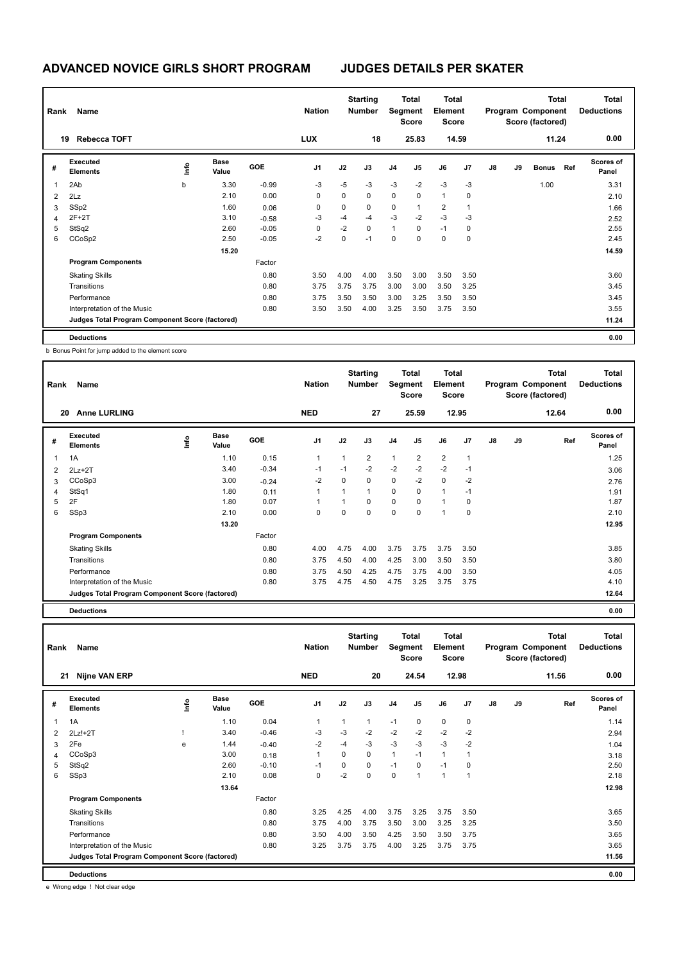| Rank | Name                                            |      |                      |            | <b>Nation</b>  |      | <b>Starting</b><br><b>Number</b> | Segment        | Total<br><b>Score</b> | <b>Total</b><br>Element<br><b>Score</b> |       |               |    | <b>Total</b><br>Program Component<br>Score (factored) |     | <b>Total</b><br><b>Deductions</b> |
|------|-------------------------------------------------|------|----------------------|------------|----------------|------|----------------------------------|----------------|-----------------------|-----------------------------------------|-------|---------------|----|-------------------------------------------------------|-----|-----------------------------------|
|      | <b>Rebecca TOFT</b><br>19                       |      |                      |            | <b>LUX</b>     |      | 18                               |                | 25.83                 |                                         | 14.59 |               |    | 11.24                                                 |     | 0.00                              |
| #    | Executed<br><b>Elements</b>                     | lnfo | <b>Base</b><br>Value | <b>GOE</b> | J <sub>1</sub> | J2   | J3                               | J <sub>4</sub> | J5                    | J6                                      | J7    | $\mathsf{J}8$ | J9 | <b>Bonus</b>                                          | Ref | <b>Scores of</b><br>Panel         |
| 1    | 2Ab                                             | b    | 3.30                 | $-0.99$    | $-3$           | $-5$ | $-3$                             | $-3$           | $-2$                  | $-3$                                    | $-3$  |               |    | 1.00                                                  |     | 3.31                              |
| 2    | 2Lz                                             |      | 2.10                 | 0.00       | 0              | 0    | $\mathbf 0$                      | 0              | 0                     | $\overline{1}$                          | 0     |               |    |                                                       |     | 2.10                              |
| 3    | SSp2                                            |      | 1.60                 | 0.06       | 0              | 0    | 0                                | 0              | 1                     | 2                                       |       |               |    |                                                       |     | 1.66                              |
| 4    | $2F+2T$                                         |      | 3.10                 | $-0.58$    | -3             | -4   | $-4$                             | $-3$           | $-2$                  | $-3$                                    | -3    |               |    |                                                       |     | 2.52                              |
| 5    | StSq2                                           |      | 2.60                 | $-0.05$    | 0              | $-2$ | $\Omega$                         | $\mathbf{1}$   | $\Omega$              | $-1$                                    | 0     |               |    |                                                       |     | 2.55                              |
| 6    | CCoSp2                                          |      | 2.50                 | $-0.05$    | $-2$           | 0    | $-1$                             | $\pmb{0}$      | 0                     | $\mathbf 0$                             | 0     |               |    |                                                       |     | 2.45                              |
|      |                                                 |      | 15.20                |            |                |      |                                  |                |                       |                                         |       |               |    |                                                       |     | 14.59                             |
|      | <b>Program Components</b>                       |      |                      | Factor     |                |      |                                  |                |                       |                                         |       |               |    |                                                       |     |                                   |
|      | <b>Skating Skills</b>                           |      |                      | 0.80       | 3.50           | 4.00 | 4.00                             | 3.50           | 3.00                  | 3.50                                    | 3.50  |               |    |                                                       |     | 3.60                              |
|      | Transitions                                     |      |                      | 0.80       | 3.75           | 3.75 | 3.75                             | 3.00           | 3.00                  | 3.50                                    | 3.25  |               |    |                                                       |     | 3.45                              |
|      | Performance                                     |      |                      | 0.80       | 3.75           | 3.50 | 3.50                             | 3.00           | 3.25                  | 3.50                                    | 3.50  |               |    |                                                       |     | 3.45                              |
|      | Interpretation of the Music                     |      |                      | 0.80       | 3.50           | 3.50 | 4.00                             | 3.25           | 3.50                  | 3.75                                    | 3.50  |               |    |                                                       |     | 3.55                              |
|      | Judges Total Program Component Score (factored) |      |                      |            |                |      |                                  |                |                       |                                         |       |               |    |                                                       |     | 11.24                             |
|      | <b>Deductions</b>                               |      |                      |            |                |      |                                  |                |                       |                                         |       |               |    |                                                       |     | 0.00                              |

b Bonus Point for jump added to the element score

| Rank | Name                                            |      |                      |            | <b>Nation</b>  |              | <b>Starting</b><br><b>Number</b> | Segment        | <b>Total</b><br><b>Score</b> | <b>Total</b><br>Element<br><b>Score</b> |                |    |    | <b>Total</b><br>Program Component<br>Score (factored) | <b>Total</b><br><b>Deductions</b> |
|------|-------------------------------------------------|------|----------------------|------------|----------------|--------------|----------------------------------|----------------|------------------------------|-----------------------------------------|----------------|----|----|-------------------------------------------------------|-----------------------------------|
| 20   | <b>Anne LURLING</b>                             |      |                      |            | <b>NED</b>     |              | 27                               |                | 25.59                        |                                         | 12.95          |    |    | 12.64                                                 | 0.00                              |
| #    | Executed<br><b>Elements</b>                     | lnfo | <b>Base</b><br>Value | <b>GOE</b> | J <sub>1</sub> | J2           | J3                               | J <sub>4</sub> | J5                           | J6                                      | J <sub>7</sub> | J8 | J9 | Ref                                                   | <b>Scores of</b><br>Panel         |
|      | 1A                                              |      | 1.10                 | 0.15       | $\overline{1}$ | $\mathbf{1}$ | $\overline{2}$                   | $\mathbf{1}$   | $\overline{2}$               | $\overline{2}$                          | 1              |    |    |                                                       | 1.25                              |
| 2    | $2Lz+2T$                                        |      | 3.40                 | $-0.34$    | $-1$           | $-1$         | $-2$                             | $-2$           | $-2$                         | $-2$                                    | $-1$           |    |    |                                                       | 3.06                              |
| 3    | CCoSp3                                          |      | 3.00                 | $-0.24$    | $-2$           | $\Omega$     | 0                                | $\mathbf 0$    | $-2$                         | $\mathbf 0$                             | $-2$           |    |    |                                                       | 2.76                              |
| 4    | StSq1                                           |      | 1.80                 | 0.11       | $\overline{1}$ |              | $\mathbf{1}$                     | $\mathbf 0$    | 0                            | $\mathbf{1}$                            | $-1$           |    |    |                                                       | 1.91                              |
| 5    | 2F                                              |      | 1.80                 | 0.07       |                |              | $\Omega$                         | $\mathbf 0$    | 0                            | $\mathbf{1}$                            | 0              |    |    |                                                       | 1.87                              |
| 6    | SSp3                                            |      | 2.10                 | 0.00       | $\Omega$       | $\Omega$     | $\Omega$                         | 0              | $\Omega$                     | $\overline{1}$                          | 0              |    |    |                                                       | 2.10                              |
|      |                                                 |      | 13.20                |            |                |              |                                  |                |                              |                                         |                |    |    |                                                       | 12.95                             |
|      | <b>Program Components</b>                       |      |                      | Factor     |                |              |                                  |                |                              |                                         |                |    |    |                                                       |                                   |
|      | <b>Skating Skills</b>                           |      |                      | 0.80       | 4.00           | 4.75         | 4.00                             | 3.75           | 3.75                         | 3.75                                    | 3.50           |    |    |                                                       | 3.85                              |
|      | Transitions                                     |      |                      | 0.80       | 3.75           | 4.50         | 4.00                             | 4.25           | 3.00                         | 3.50                                    | 3.50           |    |    |                                                       | 3.80                              |
|      | Performance                                     |      |                      | 0.80       | 3.75           | 4.50         | 4.25                             | 4.75           | 3.75                         | 4.00                                    | 3.50           |    |    |                                                       | 4.05                              |
|      | Interpretation of the Music                     |      |                      | 0.80       | 3.75           | 4.75         | 4.50                             | 4.75           | 3.25                         | 3.75                                    | 3.75           |    |    |                                                       | 4.10                              |
|      | Judges Total Program Component Score (factored) |      |                      |            |                |              |                                  |                |                              |                                         |                |    |    |                                                       | 12.64                             |

**Deductions 0.00**

| Rank | Name                                            |    |                      |            | <b>Nation</b>  |              | <b>Starting</b><br><b>Number</b> | Segment        | Total<br><b>Score</b> | <b>Total</b><br>Element<br><b>Score</b> |                |    |    | <b>Total</b><br>Program Component<br>Score (factored) | <b>Total</b><br><b>Deductions</b> |
|------|-------------------------------------------------|----|----------------------|------------|----------------|--------------|----------------------------------|----------------|-----------------------|-----------------------------------------|----------------|----|----|-------------------------------------------------------|-----------------------------------|
|      | <b>Nijne VAN ERP</b><br>21                      |    |                      |            | <b>NED</b>     |              | 20                               |                | 24.54                 |                                         | 12.98          |    |    | 11.56                                                 | 0.00                              |
| #    | Executed<br><b>Elements</b>                     | ١m | <b>Base</b><br>Value | <b>GOE</b> | J <sub>1</sub> | J2           | J3                               | J <sub>4</sub> | J <sub>5</sub>        | J6                                      | J <sub>7</sub> | J8 | J9 | Ref                                                   | <b>Scores of</b><br>Panel         |
| 1    | 1A                                              |    | 1.10                 | 0.04       | $\overline{1}$ | $\mathbf{1}$ | $\mathbf{1}$                     | $-1$           | $\mathbf 0$           | $\mathbf 0$                             | 0              |    |    |                                                       | 1.14                              |
| 2    | $2Lz!+2T$                                       |    | 3.40                 | $-0.46$    | -3             | $-3$         | $-2$                             | $-2$           | $-2$                  | $-2$                                    | $-2$           |    |    |                                                       | 2.94                              |
| 3    | 2Fe                                             | e  | 1.44                 | $-0.40$    | $-2$           | -4           | $-3$                             | $-3$           | $-3$                  | $-3$                                    | $-2$           |    |    |                                                       | 1.04                              |
| 4    | CCoSp3                                          |    | 3.00                 | 0.18       | 1              | 0            | 0                                | $\mathbf{1}$   | $-1$                  | $\mathbf{1}$                            | 1              |    |    |                                                       | 3.18                              |
| 5    | StSq2                                           |    | 2.60                 | $-0.10$    | $-1$           | $\mathbf 0$  | $\Omega$                         | $-1$           | $\mathbf 0$           | $-1$                                    | 0              |    |    |                                                       | 2.50                              |
| 6    | SSp3                                            |    | 2.10                 | 0.08       | 0              | $-2$         | $\mathbf 0$                      | $\mathbf 0$    | 1                     | $\mathbf{1}$                            | 1              |    |    |                                                       | 2.18                              |
|      |                                                 |    | 13.64                |            |                |              |                                  |                |                       |                                         |                |    |    |                                                       | 12.98                             |
|      | <b>Program Components</b>                       |    |                      | Factor     |                |              |                                  |                |                       |                                         |                |    |    |                                                       |                                   |
|      | <b>Skating Skills</b>                           |    |                      | 0.80       | 3.25           | 4.25         | 4.00                             | 3.75           | 3.25                  | 3.75                                    | 3.50           |    |    |                                                       | 3.65                              |
|      | Transitions                                     |    |                      | 0.80       | 3.75           | 4.00         | 3.75                             | 3.50           | 3.00                  | 3.25                                    | 3.25           |    |    |                                                       | 3.50                              |
|      | Performance                                     |    |                      | 0.80       | 3.50           | 4.00         | 3.50                             | 4.25           | 3.50                  | 3.50                                    | 3.75           |    |    |                                                       | 3.65                              |
|      | Interpretation of the Music                     |    |                      | 0.80       | 3.25           | 3.75         | 3.75                             | 4.00           | 3.25                  | 3.75                                    | 3.75           |    |    |                                                       | 3.65                              |
|      | Judges Total Program Component Score (factored) |    |                      |            |                |              |                                  |                |                       |                                         |                |    |    |                                                       | 11.56                             |
|      | <b>Deductions</b>                               |    |                      |            |                |              |                                  |                |                       |                                         |                |    |    |                                                       | 0.00                              |

e Wrong edge ! Not clear edge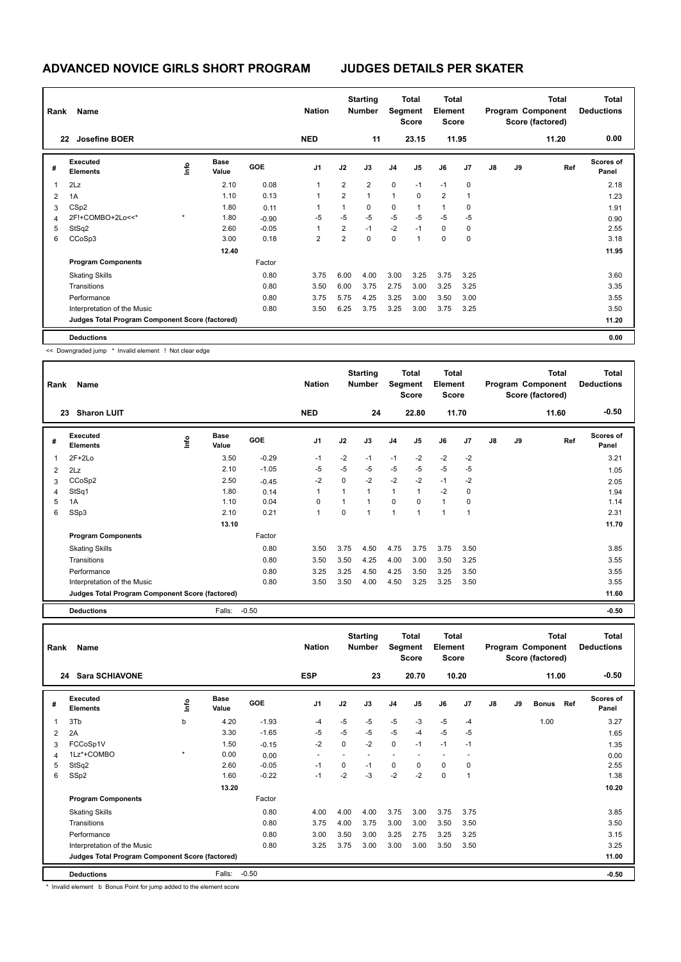| Rank | Name                                            |    |               |            | <b>Nation</b>  |                | <b>Starting</b><br><b>Number</b> |                | <b>Total</b><br>Segment<br><b>Score</b> | <b>Total</b><br>Element<br><b>Score</b> |             |               |    | <b>Total</b><br>Program Component<br>Score (factored) | <b>Total</b><br><b>Deductions</b> |
|------|-------------------------------------------------|----|---------------|------------|----------------|----------------|----------------------------------|----------------|-----------------------------------------|-----------------------------------------|-------------|---------------|----|-------------------------------------------------------|-----------------------------------|
|      | Josefine BOER<br>22                             |    |               |            | <b>NED</b>     |                | 11                               |                | 23.15                                   |                                         | 11.95       |               |    | 11.20                                                 | 0.00                              |
| #    | Executed<br><b>Elements</b>                     | ١m | Base<br>Value | <b>GOE</b> | J1             | J2             | J3                               | J <sub>4</sub> | J <sub>5</sub>                          | J6                                      | J7          | $\mathsf{J}8$ | J9 | Ref                                                   | Scores of<br>Panel                |
|      | 2Lz                                             |    | 2.10          | 0.08       |                | $\overline{2}$ | $\overline{2}$                   | $\mathbf 0$    | $-1$                                    | $-1$                                    | $\mathbf 0$ |               |    |                                                       | 2.18                              |
| 2    | 1A                                              |    | 1.10          | 0.13       | $\overline{1}$ | $\overline{2}$ | $\overline{1}$                   | 1              | 0                                       | $\overline{2}$                          | 1           |               |    |                                                       | 1.23                              |
| 3    | CS <sub>p2</sub>                                |    | 1.80          | 0.11       |                | 1              | 0                                | 0              | $\mathbf{1}$                            | 1                                       | $\mathbf 0$ |               |    |                                                       | 1.91                              |
| 4    | 2F!+COMBO+2Lo<<*                                |    | 1.80          | $-0.90$    | $-5$           | $-5$           | $-5$                             | $-5$           | $-5$                                    | $-5$                                    | $-5$        |               |    |                                                       | 0.90                              |
| 5    | StSq2                                           |    | 2.60          | $-0.05$    |                | $\overline{2}$ | $-1$                             | $-2$           | $-1$                                    | 0                                       | 0           |               |    |                                                       | 2.55                              |
| 6    | CCoSp3                                          |    | 3.00          | 0.18       | 2              | $\overline{2}$ | $\pmb{0}$                        | 0              | $\mathbf{1}$                            | 0                                       | 0           |               |    |                                                       | 3.18                              |
|      |                                                 |    | 12.40         |            |                |                |                                  |                |                                         |                                         |             |               |    |                                                       | 11.95                             |
|      | <b>Program Components</b>                       |    |               | Factor     |                |                |                                  |                |                                         |                                         |             |               |    |                                                       |                                   |
|      | <b>Skating Skills</b>                           |    |               | 0.80       | 3.75           | 6.00           | 4.00                             | 3.00           | 3.25                                    | 3.75                                    | 3.25        |               |    |                                                       | 3.60                              |
|      | Transitions                                     |    |               | 0.80       | 3.50           | 6.00           | 3.75                             | 2.75           | 3.00                                    | 3.25                                    | 3.25        |               |    |                                                       | 3.35                              |
|      | Performance                                     |    |               | 0.80       | 3.75           | 5.75           | 4.25                             | 3.25           | 3.00                                    | 3.50                                    | 3.00        |               |    |                                                       | 3.55                              |
|      | Interpretation of the Music                     |    |               | 0.80       | 3.50           | 6.25           | 3.75                             | 3.25           | 3.00                                    | 3.75                                    | 3.25        |               |    |                                                       | 3.50                              |
|      | Judges Total Program Component Score (factored) |    |               |            |                |                |                                  |                |                                         |                                         |             |               |    |                                                       | 11.20                             |
|      | <b>Deductions</b>                               |    |               |            |                |                |                                  |                |                                         |                                         |             |               |    |                                                       | 0.00                              |

<< Downgraded jump \* Invalid element ! Not clear edge

| Rank                    | Name                                            |      |                      |            | <b>Nation</b>  |                | <b>Starting</b><br><b>Number</b> | Segment        | <b>Total</b><br><b>Score</b> | <b>Total</b><br>Element<br>Score |                |    |    | <b>Total</b><br>Program Component<br>Score (factored) | <b>Total</b><br><b>Deductions</b> |
|-------------------------|-------------------------------------------------|------|----------------------|------------|----------------|----------------|----------------------------------|----------------|------------------------------|----------------------------------|----------------|----|----|-------------------------------------------------------|-----------------------------------|
|                         | <b>Sharon LUIT</b><br>23                        |      |                      |            | <b>NED</b>     |                | 24                               |                | 22.80                        |                                  | 11.70          |    |    | 11.60                                                 | $-0.50$                           |
| #                       | Executed<br><b>Elements</b>                     | ١nf٥ | <b>Base</b><br>Value | <b>GOE</b> | J <sub>1</sub> | J2             | J3                               | J <sub>4</sub> | J5                           | J6                               | J <sub>7</sub> | J8 | J9 | Ref                                                   | <b>Scores of</b><br>Panel         |
| $\overline{\mathbf{1}}$ | $2F+2Lo$                                        |      | 3.50                 | $-0.29$    | $-1$           | $-2$           | $-1$                             | $-1$           | $-2$                         | $-2$                             | $-2$           |    |    |                                                       | 3.21                              |
| $\overline{2}$          | 2Lz                                             |      | 2.10                 | $-1.05$    | $-5$           | $-5$           | -5                               | $-5$           | $-5$                         | $-5$                             | $-5$           |    |    |                                                       | 1.05                              |
| 3                       | CCoSp2                                          |      | 2.50                 | $-0.45$    | $-2$           | 0              | $-2$                             | $-2$           | $-2$                         | $-1$                             | $-2$           |    |    |                                                       | 2.05                              |
| $\overline{4}$          | StSq1                                           |      | 1.80                 | 0.14       | 1              | $\overline{1}$ | $\mathbf{1}$                     | $\mathbf{1}$   | $\overline{1}$               | $-2$                             | $\mathbf 0$    |    |    |                                                       | 1.94                              |
| 5                       | 1A                                              |      | 1.10                 | 0.04       | 0              |                | $\overline{1}$                   | 0              | $\Omega$                     | $\mathbf{1}$                     | $\mathbf 0$    |    |    |                                                       | 1.14                              |
| 6                       | SSp3                                            |      | 2.10                 | 0.21       | 1              | $\Omega$       | $\overline{1}$                   | $\overline{1}$ | $\overline{ }$               | 1                                | -1             |    |    |                                                       | 2.31                              |
|                         |                                                 |      | 13.10                |            |                |                |                                  |                |                              |                                  |                |    |    |                                                       | 11.70                             |
|                         | <b>Program Components</b>                       |      |                      | Factor     |                |                |                                  |                |                              |                                  |                |    |    |                                                       |                                   |
|                         | <b>Skating Skills</b>                           |      |                      | 0.80       | 3.50           | 3.75           | 4.50                             | 4.75           | 3.75                         | 3.75                             | 3.50           |    |    |                                                       | 3.85                              |
|                         | Transitions                                     |      |                      | 0.80       | 3.50           | 3.50           | 4.25                             | 4.00           | 3.00                         | 3.50                             | 3.25           |    |    |                                                       | 3.55                              |
|                         | Performance                                     |      |                      | 0.80       | 3.25           | 3.25           | 4.50                             | 4.25           | 3.50                         | 3.25                             | 3.50           |    |    |                                                       | 3.55                              |
|                         | Interpretation of the Music                     |      |                      | 0.80       | 3.50           | 3.50           | 4.00                             | 4.50           | 3.25                         | 3.25                             | 3.50           |    |    |                                                       | 3.55                              |
|                         | Judges Total Program Component Score (factored) |      |                      |            |                |                |                                  |                |                              |                                  |                |    |    |                                                       | 11.60                             |
|                         | <b>Deductions</b>                               |      | Falls:               | $-0.50$    |                |                |                                  |                |                              |                                  |                |    |    |                                                       | $-0.50$                           |

| Rank | Name                                            |              |               |            | <b>Nation</b>  |             | <b>Starting</b><br><b>Number</b> |                | Total<br>Segment<br><b>Score</b> | Total<br>Element<br><b>Score</b> |                | <b>Total</b><br>Program Component<br>Score (factored)<br>11.00 |    |              |     | Total<br><b>Deductions</b> |
|------|-------------------------------------------------|--------------|---------------|------------|----------------|-------------|----------------------------------|----------------|----------------------------------|----------------------------------|----------------|----------------------------------------------------------------|----|--------------|-----|----------------------------|
|      | <b>Sara SCHIAVONE</b><br>24                     |              |               |            | <b>ESP</b>     |             | 23                               |                | 20.70                            |                                  | 10.20          |                                                                |    |              |     | $-0.50$                    |
| #    | Executed<br><b>Elements</b>                     | ١mfo         | Base<br>Value | <b>GOE</b> | J <sub>1</sub> | J2          | J3                               | J <sub>4</sub> | J <sub>5</sub>                   | J6                               | J <sub>7</sub> | $\mathsf{J}8$                                                  | J9 | <b>Bonus</b> | Ref | Scores of<br>Panel         |
| 1    | 3T <sub>b</sub>                                 | b            | 4.20          | $-1.93$    | $-4$           | $-5$        | $-5$                             | $-5$           | $-3$                             | $-5$                             | $-4$           |                                                                |    | 1.00         |     | 3.27                       |
| 2    | 2A                                              |              | 3.30          | $-1.65$    | $-5$           | $-5$        | $-5$                             | $-5$           | $-4$                             | $-5$                             | $-5$           |                                                                |    |              |     | 1.65                       |
| 3    | FCCoSp1V                                        |              | 1.50          | $-0.15$    | $-2$           | $\mathbf 0$ | $-2$                             | $\mathbf 0$    | $-1$                             | $-1$                             | $-1$           |                                                                |    |              |     | 1.35                       |
| 4    | 1Lz*+COMBO                                      | $\mathbf{r}$ | 0.00          | 0.00       |                |             |                                  | ÷              |                                  |                                  |                |                                                                |    |              |     | 0.00                       |
| 5    | StSq2                                           |              | 2.60          | $-0.05$    | $-1$           | $\Omega$    | $-1$                             | $\mathbf 0$    | $\Omega$                         | $\Omega$                         | $\Omega$       |                                                                |    |              |     | 2.55                       |
| 6    | SSp2                                            |              | 1.60          | $-0.22$    | $-1$           | $-2$        | $-3$                             | $-2$           | $-2$                             | $\mathbf 0$                      | 1              |                                                                |    |              |     | 1.38                       |
|      |                                                 |              | 13.20         |            |                |             |                                  |                |                                  |                                  |                |                                                                |    |              |     | 10.20                      |
|      | <b>Program Components</b>                       |              |               | Factor     |                |             |                                  |                |                                  |                                  |                |                                                                |    |              |     |                            |
|      | <b>Skating Skills</b>                           |              |               | 0.80       | 4.00           | 4.00        | 4.00                             | 3.75           | 3.00                             | 3.75                             | 3.75           |                                                                |    |              |     | 3.85                       |
|      | Transitions                                     |              |               | 0.80       | 3.75           | 4.00        | 3.75                             | 3.00           | 3.00                             | 3.50                             | 3.50           |                                                                |    |              |     | 3.50                       |
|      | Performance                                     |              |               | 0.80       | 3.00           | 3.50        | 3.00                             | 3.25           | 2.75                             | 3.25                             | 3.25           |                                                                |    |              |     | 3.15                       |
|      | Interpretation of the Music                     |              |               | 0.80       | 3.25           | 3.75        | 3.00                             | 3.00           | 3.00                             | 3.50                             | 3.50           |                                                                |    |              |     | 3.25                       |
|      | Judges Total Program Component Score (factored) |              |               |            |                |             |                                  |                |                                  |                                  |                |                                                                |    |              |     | 11.00                      |
|      | <b>Deductions</b>                               |              | Falls:        | $-0.50$    |                |             |                                  |                |                                  |                                  |                |                                                                |    |              |     | $-0.50$                    |

\* Invalid element b Bonus Point for jump added to the element score